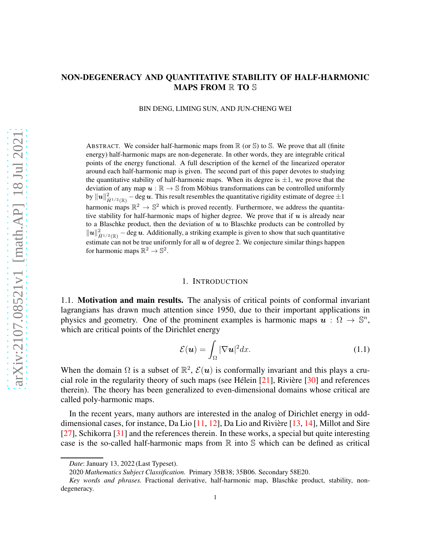# NON-DEGENERACY AND QUANTITATIVE STABILITY OF HALF-HARMONIC MAPS FROM **R** TO S

BIN DENG, LIMING SUN, AND JUN-CHENG WEI

ABSTRACT. We consider half-harmonic maps from  $\mathbb R$  (or  $\mathbb S$ ) to  $\mathbb S$ . We prove that all (finite energy) half-harmonic maps are non-degenerate. In other words, they are integrable critical points of the energy functional. A full description of the kernel of the linearized operator around each half-harmonic map is given. The second part of this paper devotes to studying the quantitative stability of half-harmonic maps. When its degree is  $\pm 1$ , we prove that the deviation of any map  $u : \mathbb{R} \to \mathbb{S}$  from Möbius transformations can be controlled uniformly by  $\|u\|_{\dot{H}^{1/2}(\mathbb{R})}^2$  – deg  $u.$  This result resembles the quantitative rigidity estimate of degree  $\pm 1$ harmonic maps  $\mathbb{R}^2 \to \mathbb{S}^2$  which is proved recently. Furthermore, we address the quantitative stability for half-harmonic maps of higher degree. We prove that if  $u$  is already near to a Blaschke product, then the deviation of  $u$  to Blaschke products can be controlled by  $\|u\|_{\dot{H}^{1/2}(\mathbb{R})}^2$  – deg  $u$ . Additionally, a striking example is given to show that such quantitative estimate can not be true uniformly for all  $u$  of degree 2. We conjecture similar things happen for harmonic maps  $\mathbb{R}^2 \to \mathbb{S}^2$ .

#### 1. INTRODUCTION

1.1. Motivation and main results. The analysis of critical points of conformal invariant lagrangians has drawn much attention since 1950, due to their important applications in physics and geometry. One of the prominent examples is harmonic maps  $\mathbf{u}: \Omega \to \mathbb{S}^n$ , which are critical points of the Dirichlet energy

$$
\mathcal{E}(\boldsymbol{u}) = \int_{\Omega} |\nabla \boldsymbol{u}|^2 dx. \tag{1.1}
$$

When the domain  $\Omega$  is a subset of  $\mathbb{R}^2$ ,  $\mathcal{E}(u)$  is conformally invariant and this plays a crucial role in the regularity theory of such maps (see Hélein  $[21]$ , Rivière  $[30]$  and references therein). The theory has been generalized to even-dimensional domains whose critical are called poly-harmonic maps.

In the recent years, many authors are interested in the analog of Dirichlet energy in odddimensional cases, for instance, Da Lio  $[11, 12]$  $[11, 12]$ , Da Lio and Rivière  $[13, 14]$  $[13, 14]$  $[13, 14]$ , Millot and Sire [\[27](#page-34-2)], Schikorra [\[31](#page-34-3)] and the references therein. In these works, a special but quite interesting case is the so-called half-harmonic maps from  $\mathbb R$  into  $\mathbb S$  which can be defined as critical

*Date*: January 13, 2022 (Last Typeset).

<sup>2020</sup> *Mathematics Subject Classification.* Primary 35B38; 35B06. Secondary 58E20.

*Key words and phrases.* Fractional derivative, half-harmonic map, Blaschke product, stability, nondegeneracy.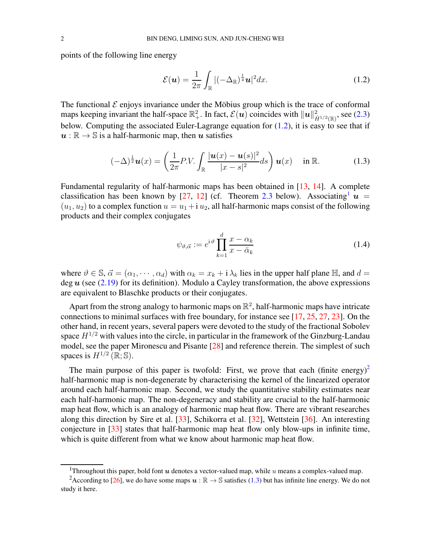points of the following line energy

<span id="page-1-0"></span>
$$
\mathcal{E}(\boldsymbol{u}) = \frac{1}{2\pi} \int_{\mathbb{R}} |(-\Delta_{\mathbb{R}})^{\frac{1}{4}} \boldsymbol{u}|^2 dx.
$$
 (1.2)

The functional  $\mathcal E$  enjoys invariance under the Möbius group which is the trace of conformal maps keeping invariant the half-space  $\mathbb{R}^2_+$ . In fact,  $\mathcal{E}(u)$  coincides with  $||u||^2_{\dot{H}^{1/2}(\mathbb{R})}$ , see [\(2.3\)](#page-5-0) below. Computing the associated Euler-Lagrange equation for  $(1.2)$ , it is easy to see that if  $u : \mathbb{R} \to \mathbb{S}$  is a half-harmonic map, then u satisfies

$$
(-\Delta)^{\frac{1}{2}}\boldsymbol{u}(x) = \left(\frac{1}{2\pi}P.V.\int_{\mathbb{R}}\frac{|\boldsymbol{u}(x)-\boldsymbol{u}(s)|^2}{|x-s|^2}ds\right)\boldsymbol{u}(x) \quad \text{in } \mathbb{R}.
$$
 (1.3)

Fundamental regularity of half-harmonic maps has been obtained in [\[13](#page-33-2), [14](#page-33-3)]. A complete classification has been known by [\[27,](#page-34-2) [12\]](#page-33-1) (cf. Theorem [2.3](#page-6-0) below). Associating  $u =$  $(u_1, u_2)$  to a complex function  $u = u_1 + i u_2$ , all half-harmonic maps consist of the following products and their complex conjugates

<span id="page-1-4"></span><span id="page-1-3"></span>
$$
\psi_{\vartheta,\vec{\alpha}} := e^{i\vartheta} \prod_{k=1}^{d} \frac{x - \alpha_k}{x - \bar{\alpha}_k}
$$
\n(1.4)

where  $\vartheta \in \mathbb{S}, \vec{\alpha} = (\alpha_1, \dots, \alpha_d)$  with  $\alpha_k = x_k + i \lambda_k$  lies in the upper half plane  $\mathbb{H}$ , and  $d =$ deg  $u$  (see [\(2.19\)](#page-8-0) for its definition). Modulo a Cayley transformation, the above expressions are equivalent to Blaschke products or their conjugates.

Apart from the strong analogy to harmonic maps on  $\mathbb{R}^2$ , half-harmonic maps have intricate connections to minimal surfaces with free boundary, for instance see [\[17](#page-33-4), [25,](#page-34-4) [27](#page-34-2), [23](#page-34-5)]. On the other hand, in recent years, several papers were devoted to the study of the fractional Sobolev space  $H^{1/2}$  with values into the circle, in particular in the framework of the Ginzburg-Landau model, see the paper Mironescu and Pisante [\[28\]](#page-34-6) and reference therein. The simplest of such spaces is  $H^{1/2}(\mathbb{R}; \mathbb{S})$ .

The main purpose of this paper is twofold: First, we prove that each (finite energy)<sup>[2](#page-1-2)</sup> half-harmonic map is non-degenerate by characterising the kernel of the linearized operator around each half-harmonic map. Second, we study the quantitative stability estimates near each half-harmonic map. The non-degeneracy and stability are crucial to the half-harmonic map heat flow, which is an analogy of harmonic map heat flow. There are vibrant researches along this direction by Sire et al. [\[33](#page-34-7)], Schikorra et al. [\[32](#page-34-8)], Wettstein [\[36](#page-34-9)]. An interesting conjecture in [\[33\]](#page-34-7) states that half-harmonic map heat flow only blow-ups in infinite time, which is quite different from what we know about harmonic map heat flow.

<span id="page-1-1"></span><sup>&</sup>lt;sup>1</sup>Throughout this paper, bold font  $u$  denotes a vector-valued map, while  $u$  means a complex-valued map.

<span id="page-1-2"></span><sup>&</sup>lt;sup>2</sup>According to [\[26\]](#page-34-10), we do have some maps  $u : \mathbb{R} \to \mathbb{S}$  satisfies [\(1.3\)](#page-1-3) but has infinite line energy. We do not study it here.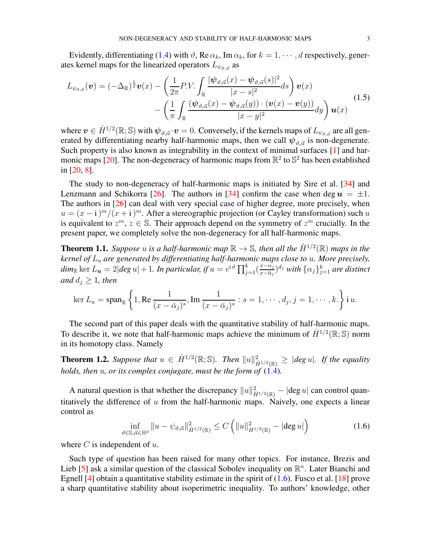Evidently, differentiating [\(1.4\)](#page-1-4) with  $\vartheta$ , Re  $\alpha_k$ , Im  $\alpha_k$ , for  $k = 1, \dots, d$  respectively, generates kernel maps for the linearized operators  $L_{\psi_{\vartheta,\vec{\alpha}}}$  as

$$
L_{\psi_{\vartheta,\vec{\alpha}}}(\mathbf{v}) = (-\Delta_{\mathbb{R}})^{\frac{1}{2}} \mathbf{v}(x) - \left(\frac{1}{2\pi} P.V. \int_{\mathbb{R}} \frac{|\psi_{\vartheta,\vec{\alpha}}(x) - \psi_{\vartheta,\vec{\alpha}}(s)|^2}{|x-s|^2} ds\right) \mathbf{v}(x) - \left(\frac{1}{\pi} \int_{\mathbb{R}} \frac{(\psi_{\vartheta,\vec{\alpha}}(x) - \psi_{\vartheta,\vec{\alpha}}(y)) \cdot (\mathbf{v}(x) - \mathbf{v}(y))}{|x-y|^2} dy\right) \mathbf{u}(x)
$$
(1.5)

where  $\bm{v}\in \dot{H}^{1/2}(\R;\mathbb{S})$  with  $\bm{\psi}_{\vartheta,\vec{\alpha}}\!\cdot\!\bm{v}=0.$  Conversely, if the kernels maps of  $L_{\psi_{\vartheta,\vec{\alpha}}}$  are all generated by differentiating nearby half-harmonic maps, then we call  $\psi_{\vartheta, \vec{\alpha}}$  is non-degenerate. Such property is also known as integrability in the context of minimal surfaces [\[1\]](#page-33-5) and har-monic maps [\[20\]](#page-34-11). The non-degeneracy of harmonic maps from  $\mathbb{R}^2$  to  $\mathbb{S}^2$  has been established in [\[20,](#page-34-11) [8\]](#page-33-6).

The study to non-degeneracy of half-harmonic maps is initiated by Sire et al. [\[34](#page-34-12)] and Lenzmann and Schikorra [\[26](#page-34-10)]. The authors in [\[34\]](#page-34-12) confirm the case when deg  $u = \pm 1$ . The authors in [\[26\]](#page-34-10) can deal with very special case of higher degree, more precisely, when  $u = (x - i)^m / (x + i)^m$ . After a stereographic projection (or Cayley transformation) such u is equivalent to  $z^m$ ,  $z \in \mathbb{S}$ . Their approach depend on the symmetry of  $z^m$  crucially. In the present paper, we completely solve the non-degeneracy for all half-harmonic maps.

<span id="page-2-1"></span>**Theorem 1.1.** Suppose u is a half-harmonic map  $\mathbb{R} \to \mathbb{S}$ , then all the  $\dot{H}^{1/2}(\mathbb{R})$  maps in the *kernel of* L<sup>u</sup> *are generated by differentiating half-harmonic maps close to* u*. More precisely,*  $dim_{\mathbb R} \ker L_{\bm u} = 2 | deg ~ u | + 1$ . In particular, if  $u = e^{{\rm i} \, \vartheta} \prod_{j=1}^k (\frac{x - \alpha_j}{x - \bar \alpha_j})$  $\frac{x-\alpha_j}{x-\bar \alpha_j})^{d_j}$  with  $\{\alpha_j\}_{j=1}^k$  are distinct *and*  $d_i \geq 1$ *, then* 

$$
\ker L_u = \operatorname{span}_{\mathbb{R}} \left\{ 1, \operatorname{Re} \frac{1}{(x - \bar{\alpha}_j)^s}, \operatorname{Im} \frac{1}{(x - \bar{\alpha}_j)^s} : s = 1, \cdots, d_j, j = 1, \cdots, k. \right\} \mathrm{i} \, u.
$$

The second part of this paper deals with the quantitative stability of half-harmonic maps. To describe it, we note that half-harmonic maps achieve the minimum of  $\dot{H}^{1/2}(\mathbb{R}; \mathbb{S})$  norm in its homotopy class. Namely

<span id="page-2-2"></span>**Theorem 1.2.** Suppose that  $u \in \dot{H}^{1/2}(\mathbb{R}; \mathbb{S})$ . Then  $||u||^2_{\dot{H}^{1/2}(\mathbb{R})} \geq |deg u|$ . If the equality *holds, then*  $u$ *, or its complex conjugate, must be the form of*  $(1.4)$ *.* 

A natural question is that whether the discrepancy  $||u||_{\dot{H}^{1/2}(\mathbb{R})}^2 - |\text{deg } u|$  can control quantitatively the difference of  $u$  from the half-harmonic maps. Naively, one expects a linear control as

<span id="page-2-0"></span>
$$
\inf_{\vartheta \in \mathbb{S}, \vec{\alpha} \in \mathbb{H}^d} \|u - \psi_{\vartheta, \vec{\alpha}}\|_{\dot{H}^{1/2}(\mathbb{R})}^2 \le C \left( \|u\|_{\dot{H}^{1/2}(\mathbb{R})}^2 - |\text{deg } u| \right) \tag{1.6}
$$

where  $C$  is independent of  $u$ .

Such type of question has been raised for many other topics. For instance, Brezis and Lieb [\[5](#page-33-7)] ask a similar question of the classical Sobolev inequality on  $\mathbb{R}^n$ . Later Bianchi and Egnell [\[4](#page-33-8)] obtain a quantitative stability estimate in the spirit of  $(1.6)$ . Fusco et al. [\[18](#page-33-9)] prove a sharp quantitative stability about isoperimetric inequality. To authors' knowledge, other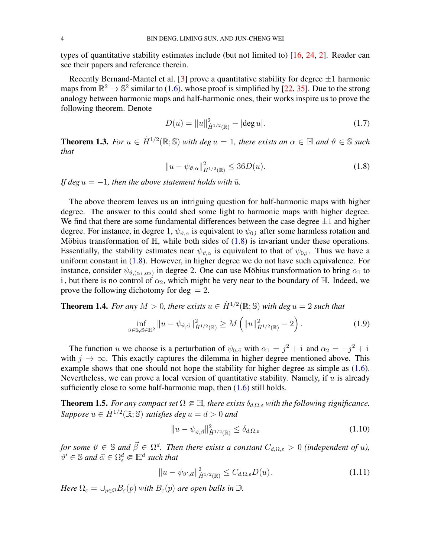types of quantitative stability estimates include (but not limited to) [\[16](#page-33-10), [24,](#page-34-13) [2](#page-33-11)]. Reader can see their papers and reference therein.

Recently Bernand-Mantel et al. [\[3\]](#page-33-12) prove a quantitative stability for degree  $\pm 1$  harmonic maps from  $\mathbb{R}^2 \to \mathbb{S}^2$  similar to [\(1.6\)](#page-2-0), whose proof is simplified by [\[22,](#page-34-14) [35](#page-34-15)]. Due to the strong analogy between harmonic maps and half-harmonic ones, their works inspire us to prove the following theorem. Denote

<span id="page-3-4"></span>
$$
D(u) = ||u||_{\dot{H}^{1/2}(\mathbb{R})}^2 - |\text{deg } u|.
$$
 (1.7)

<span id="page-3-2"></span>**Theorem 1.3.** For  $u \in \dot{H}^{1/2}(\mathbb{R}; \mathbb{S})$  with deg  $u = 1$ , there exists an  $\alpha \in \mathbb{H}$  and  $\vartheta \in \mathbb{S}$  such *that*

<span id="page-3-0"></span>
$$
||u - \psi_{\vartheta,\alpha}||_{\dot{H}^{1/2}(\mathbb{R})}^2 \le 36D(u). \tag{1.8}
$$

*If deg*  $u = -1$ *, then the above statement holds with*  $\bar{u}$ *.* 

The above theorem leaves us an intriguing question for half-harmonic maps with higher degree. The answer to this could shed some light to harmonic maps with higher degree. We find that there are some fundamental differences between the case degree  $\pm 1$  and higher degree. For instance, in degree 1,  $\psi_{\vartheta,\alpha}$  is equivalent to  $\psi_{0,i}$  after some harmless rotation and Möbius transformation of  $\mathbb{H}$ , while both sides of [\(1.8\)](#page-3-0) is invariant under these operations. Essentially, the stability estimates near  $\psi_{\vartheta,\alpha}$  is equivalent to that of  $\psi_{0,i}$ . Thus we have a uniform constant in  $(1.8)$ . However, in higher degree we do not have such equivalence. For instance, consider  $\psi_{\vartheta,(\alpha_1,\alpha_2)}$  in degree 2. One can use Möbius transformation to bring  $\alpha_1$  to i, but there is no control of  $\alpha_2$ , which might be very near to the boundary of H. Indeed, we prove the following dichotomy for  $\text{deg} = 2$ .

<span id="page-3-5"></span>**Theorem 1.4.** For any  $M > 0$ , there exists  $u \in \dot{H}^{1/2}(\mathbb{R}; \mathbb{S})$  with deg  $u = 2$  such that

$$
\inf_{\vartheta \in \mathbb{S}, \vec{\alpha} \in \mathbb{H}^2} \|u - \psi_{\vartheta, \vec{\alpha}}\|_{\dot{H}^{1/2}(\mathbb{R})}^2 \ge M \left( \|u\|_{\dot{H}^{1/2}(\mathbb{R})}^2 - 2 \right). \tag{1.9}
$$

The function u we choose is a perturbation of  $\psi_{0,\vec{\alpha}}$  with  $\alpha_1 = j^2 + i$  and  $\alpha_2 = -j^2 + i$ with  $j \to \infty$ . This exactly captures the dilemma in higher degree mentioned above. This example shows that one should not hope the stability for higher degree as simple as  $(1.6)$ . Nevertheless, we can prove a local version of quantitative stability. Namely, if  $u$  is already sufficiently close to some half-harmonic map, then  $(1.6)$  still holds.

<span id="page-3-1"></span>**Theorem 1.5.** *For any compact set*  $\Omega \in \mathbb{H}$ *, there exists*  $\delta_{d,\Omega,\varepsilon}$  *with the following significance.*  $Suppose \ u \in \dot{H}^{1/2}(\mathbb{R};\mathbb{S}) \ satisfies \ deg \ u = d > 0 \ and$ 

<span id="page-3-3"></span>
$$
||u - \psi_{\vartheta, \vec{\beta}}||_{\dot{H}^{1/2}(\mathbb{R})}^2 \le \delta_{d, \Omega, \varepsilon}
$$
\n(1.10)

*for some*  $\vartheta \in \mathbb{S}$  and  $\vec{\beta} \in \Omega^d$ . Then there exists a constant  $C_{d,\Omega,\varepsilon} > 0$  (independent of u),  $\vartheta' \in \mathbb{S}$  and  $\vec{\alpha} \in \Omega^d_\varepsilon \Subset \mathbb{H}^d$  such that

$$
||u - \psi_{\vartheta', \vec{\alpha}}||_{\dot{H}^{1/2}(\mathbb{R})}^2 \le C_{d, \Omega, \varepsilon} D(u). \tag{1.11}
$$

*Here*  $\Omega_{\varepsilon} = \cup_{p \in \Omega} B_{\varepsilon}(p)$  *with*  $B_{\varepsilon}(p)$  *are open balls in*  $\mathbb{D}$ *.*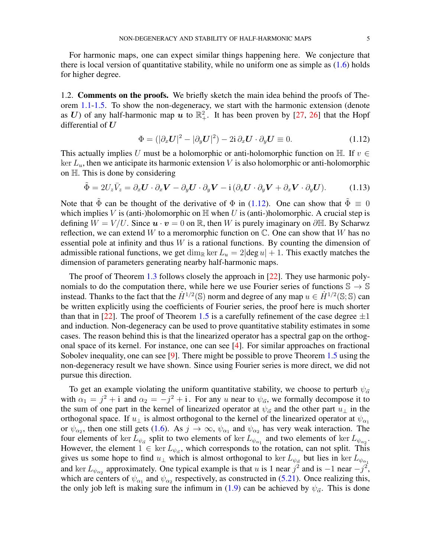For harmonic maps, one can expect similar things happening here. We conjecture that there is local version of quantitative stability, while no uniform one as simple as  $(1.6)$  holds for higher degree.

1.2. Comments on the proofs. We briefly sketch the main idea behind the proofs of Theorem [1.1-](#page-2-1)[1.5.](#page-3-1) To show the non-degeneracy, we start with the harmonic extension (denote as U) of any half-harmonic map u to  $\mathbb{R}^2_+$ . It has been proven by [\[27](#page-34-2), [26\]](#page-34-10) that the Hopf differential of  $U$ 

<span id="page-4-0"></span>
$$
\Phi = (|\partial_x \mathbf{U}|^2 - |\partial_y \mathbf{U}|^2) - 2i \partial_x \mathbf{U} \cdot \partial_y \mathbf{U} \equiv 0.
$$
\n(1.12)

This actually implies U must be a holomorphic or anti-holomorphic function on H. If  $v \in$ ker  $L<sub>u</sub>$ , then we anticipate its harmonic extension V is also holomorphic or anti-holomorphic on  $\mathbb{H}$ . This is done by considering

$$
\tilde{\Phi} = 2U_z \bar{V}_z = \partial_x \mathbf{U} \cdot \partial_x \mathbf{V} - \partial_y \mathbf{U} \cdot \partial_y \mathbf{V} - i(\partial_x \mathbf{U} \cdot \partial_y \mathbf{V} + \partial_x \mathbf{V} \cdot \partial_y \mathbf{U}).
$$
 (1.13)

Note that  $\tilde{\Phi}$  can be thought of the derivative of  $\Phi$  in [\(1.12\)](#page-4-0). One can show that  $\tilde{\Phi} \equiv 0$ which implies V is (anti-)holomorphic on  $\mathbb H$  when U is (anti-)holomorphic. A crucial step is defining  $W = V/U$ . Since  $\mathbf{u} \cdot \mathbf{v} = 0$  on R, then W is purely imaginary on  $\partial \mathbb{H}$ . By Scharwz reflection, we can extend W to a meromorphic function on  $\mathbb{C}$ . One can show that W has no essential pole at infinity and thus  $W$  is a rational functions. By counting the dimension of admissible rational functions, we get dim<sub>R</sub> ker  $L_u = 2|\text{deg }u| + 1$ . This exactly matches the dimension of parameters generating nearby half-harmonic maps.

The proof of Theorem [1.3](#page-3-2) follows closely the approach in [\[22\]](#page-34-14). They use harmonic polynomials to do the computation there, while here we use Fourier series of functions  $\mathbb{S} \to \mathbb{S}$ instead. Thanks to the fact that the  $\dot{H}^{1/2}(\mathbb{S})$  norm and degree of any map  $u \in \dot{H}^{1/2}(\mathbb{S};\mathbb{S})$  can be written explicitly using the coefficients of Fourier series, the proof here is much shorter than that in [\[22\]](#page-34-14). The proof of Theorem [1.5](#page-3-1) is a carefully refinement of the case degree  $\pm 1$ and induction. Non-degeneracy can be used to prove quantitative stability estimates in some cases. The reason behind this is that the linearized operator has a spectral gap on the orthogonal space of its kernel. For instance, one can see [\[4\]](#page-33-8). For similar approaches on fractional Sobolev inequality, one can see [\[9\]](#page-33-13). There might be possible to prove Theorem [1.5](#page-3-1) using the non-degeneracy result we have shown. Since using Fourier series is more direct, we did not pursue this direction.

To get an example violating the uniform quantitative stability, we choose to perturb  $\psi_{\vec{\alpha}}$ with  $\alpha_1 = j^2 + i$  and  $\alpha_2 = -j^2 + i$ . For any u near to  $\psi_{\vec{\alpha}}$ , we formally decompose it to the sum of one part in the kernel of linearized operator at  $\psi_{\vec{\alpha}}$  and the other part  $u_{\perp}$  in the orthogonal space. If  $u_{\perp}$  is almost orthogonal to the kernel of the linearized operator at  $\psi_{\alpha_1}$ or  $\psi_{\alpha_2}$ , then one still gets [\(1.6\)](#page-2-0). As  $j \to \infty$ ,  $\psi_{\alpha_1}$  and  $\psi_{\alpha_2}$  has very weak interaction. The four elements of ker  $L_{\psi_{\vec{\alpha}}}$  split to two elements of ker  $L_{\psi_{\alpha_1}}$  and two elements of ker  $L_{\psi_{\alpha_2}}$ . However, the element  $1 \in \text{ker } L_{\psi_{\vec{\alpha}}}$ , which corresponds to the rotation, can not split. This gives us some hope to find  $u_{\perp}$  which is almost orthogonal to ker  $L_{\psi_{\vec{\alpha}}}$  but lies in ker  $L_{\psi_{\alpha_1}}$ and ker  $L_{\psi_{\alpha_2}}$  approximately. One typical example is that u is 1 near  $j^2$  and is  $-1$  near  $-j^2$ , which are centers of  $\psi_{\alpha_1}$  and  $\psi_{\alpha_2}$  respectively, as constructed in [\(5.21\)](#page-26-0). Once realizing this, the only job left is making sure the infimum in [\(1.9\)](#page-3-3) can be achieved by  $\psi_{\vec{\alpha}}$ . This is done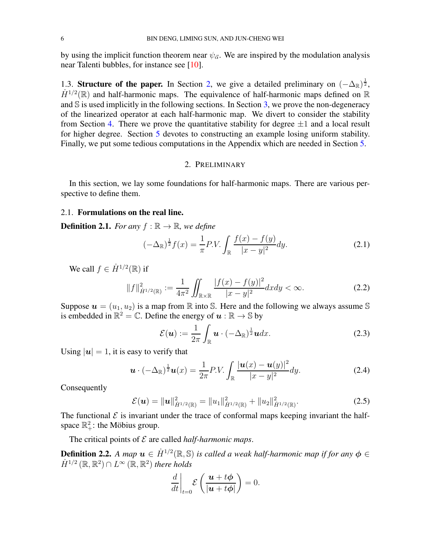by using the implicit function theorem near  $\psi_{\vec{\alpha}}$ . We are inspired by the modulation analysis near Talenti bubbles, for instance see [\[10](#page-33-14)].

1.3. Structure of the paper. In Section [2,](#page-5-1) we give a detailed preliminary on  $(-\Delta_{\mathbb{R}})^{\frac{1}{2}}$ ,  $\dot{H}^{1/2}(\mathbb{R})$  and half-harmonic maps. The equivalence of half-harmonic maps defined on  $\mathbb R$ and  $\hat{S}$  is used implicitly in the following sections. In Section [3,](#page-9-0) we prove the non-degeneracy of the linearized operator at each half-harmonic map. We divert to consider the stability from Section [4.](#page-14-0) There we prove the quantitative stability for degree  $\pm 1$  and a local result for higher degree. Section [5](#page-22-0) devotes to constructing an example losing uniform stability. Finally, we put some tedious computations in the Appendix which are needed in Section [5.](#page-22-0)

### <span id="page-5-2"></span>2. PRELIMINARY

<span id="page-5-1"></span>In this section, we lay some foundations for half-harmonic maps. There are various perspective to define them.

#### 2.1. Formulations on the real line.

**Definition 2.1.** *For any*  $f : \mathbb{R} \to \mathbb{R}$ *, we define* 

$$
(-\Delta_{\mathbb{R}})^{\frac{1}{2}}f(x) = \frac{1}{\pi}P.V. \int_{\mathbb{R}} \frac{f(x) - f(y)}{|x - y|^2} dy.
$$
 (2.1)

We call  $f \in \dot{H}^{1/2}(\mathbb{R})$  if

$$
||f||_{\dot{H}^{1/2}(\mathbb{R})}^2 := \frac{1}{4\pi^2} \iint_{\mathbb{R} \times \mathbb{R}} \frac{|f(x) - f(y)|^2}{|x - y|^2} dx dy < \infty.
$$
 (2.2)

Suppose  $\mathbf{u} = (u_1, u_2)$  is a map from  $\mathbb R$  into S. Here and the following we always assume S is embedded in  $\mathbb{R}^2 = \mathbb{C}$ . Define the energy of  $u : \mathbb{R} \to \mathbb{S}$  by

<span id="page-5-3"></span><span id="page-5-0"></span>
$$
\mathcal{E}(\boldsymbol{u}) := \frac{1}{2\pi} \int_{\mathbb{R}} \boldsymbol{u} \cdot (-\Delta_{\mathbb{R}})^{\frac{1}{2}} \boldsymbol{u} dx.
$$
 (2.3)

Using  $|u| = 1$ , it is easy to verify that

$$
\boldsymbol{u} \cdot (-\Delta_{\mathbb{R}})^{\frac{1}{2}} \boldsymbol{u}(x) = \frac{1}{2\pi} P.V. \int_{\mathbb{R}} \frac{|\boldsymbol{u}(x) - \boldsymbol{u}(y)|^2}{|x - y|^2} dy.
$$
 (2.4)

Consequently

$$
\mathcal{E}(\boldsymbol{u}) = \|\boldsymbol{u}\|_{\dot{H}^{1/2}(\mathbb{R})}^2 = \|u_1\|_{\dot{H}^{1/2}(\mathbb{R})}^2 + \|u_2\|_{\dot{H}^{1/2}(\mathbb{R})}^2.
$$
 (2.5)

The functional  $\mathcal E$  is invariant under the trace of conformal maps keeping invariant the halfspace  $\mathbb{R}^2_+$ : the Möbius group.

The critical points of E are called *half-harmonic maps*.

**Definition 2.2.** A map  $u \in \dot{H}^{1/2}(\mathbb{R}, \mathbb{S})$  is called a weak half-harmonic map if for any  $\phi \in$  $\dot{H}^{1/2}(\mathbb{R}, \mathbb{R}^2) \cap L^{\infty}(\mathbb{R}, \mathbb{R}^2)$  there holds

$$
\left. \frac{d}{dt} \right|_{t=0} \mathcal{E} \left( \frac{\boldsymbol{u} + t\boldsymbol{\phi}}{|\boldsymbol{u} + t\boldsymbol{\phi}|} \right) = 0.
$$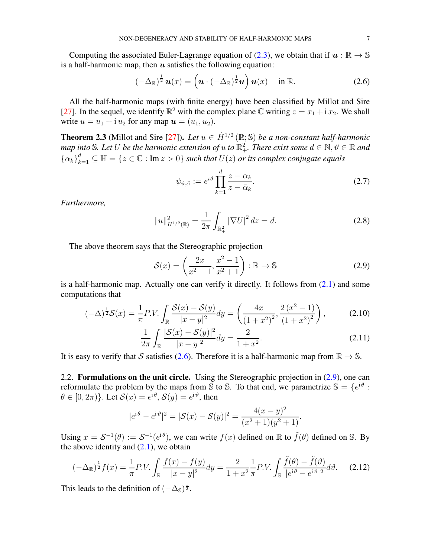Computing the associated Euler-Lagrange equation of [\(2.3\)](#page-5-0), we obtain that if  $u : \mathbb{R} \to \mathbb{S}$ is a half-harmonic map, then  $u$  satisfies the following equation:

$$
\left(-\Delta_{\mathbb{R}}\right)^{\frac{1}{2}}\boldsymbol{u}(x)=\left(\boldsymbol{u}\cdot\left(-\Delta_{\mathbb{R}}\right)^{\frac{1}{2}}\boldsymbol{u}\right)\boldsymbol{u}(x)\quad\text{ in }\mathbb{R}.\tag{2.6}
$$

All the half-harmonic maps (with finite energy) have been classified by Millot and Sire [\[27](#page-34-2)]. In the sequel, we identify  $\mathbb{R}^2$  with the complex plane C writing  $z = x_1 + i x_2$ . We shall write  $u = u_1 + i u_2$  for any map  $u = (u_1, u_2)$ .

<span id="page-6-0"></span>**Theorem 2.3** (Millot and Sire [\[27\]](#page-34-2)). Let  $u \in \dot{H}^{1/2}(\mathbb{R}; \mathbb{S})$  be a non-constant half-harmonic map into  $\mathbb S$ . Let  $U$  be the harmonic extension of  $u$  to  $\mathbb R^2_+$ . There exist some  $d\in\mathbb N,$   $\vartheta\in\mathbb R$  and  ${ \{\alpha_k\}}_{k=1}^d \subseteq \mathbb{H} = \{z \in \mathbb{C} : \text{Im } z > 0 \}$  *such that*  $U(z)$  *or its complex conjugate equals* 

<span id="page-6-5"></span><span id="page-6-4"></span><span id="page-6-1"></span>
$$
\psi_{\vartheta,\vec{\alpha}} := e^{i\vartheta} \prod_{k=1}^{d} \frac{z - \alpha_k}{z - \bar{\alpha}_k}.
$$
\n(2.7)

*Furthermore,*

$$
||u||_{\dot{H}^{1/2}(\mathbb{R})}^2 = \frac{1}{2\pi} \int_{\mathbb{R}_+^2} |\nabla U|^2 dz = d.
$$
 (2.8)

The above theorem says that the Stereographic projection

<span id="page-6-2"></span>
$$
\mathcal{S}(x) = \left(\frac{2x}{x^2 + 1}, \frac{x^2 - 1}{x^2 + 1}\right) : \mathbb{R} \to \mathbb{S}
$$
\n(2.9)

is a half-harmonic map. Actually one can verify it directly. It follows from [\(2.1\)](#page-5-2) and some computations that

$$
(-\Delta)^{\frac{1}{2}}\mathcal{S}(x) = \frac{1}{\pi}P.V. \int_{\mathbb{R}} \frac{\mathcal{S}(x) - \mathcal{S}(y)}{|x - y|^2} dy = \left(\frac{4x}{(1 + x^2)^2}, \frac{2(x^2 - 1)}{(1 + x^2)^2}\right),\tag{2.10}
$$

$$
\frac{1}{2\pi} \int_{\mathbb{R}} \frac{|\mathcal{S}(x) - \mathcal{S}(y)|^2}{|x - y|^2} dy = \frac{2}{1 + x^2}.
$$
 (2.11)

It is easy to verify that S satisfies [\(2.6\)](#page-6-1). Therefore it is a half-harmonic map from  $\mathbb{R} \to \mathbb{S}$ .

2.2. Formulations on the unit circle. Using the Stereographic projection in [\(2.9\)](#page-6-2), one can reformulate the problem by the maps from S to S. To that end, we parametrize  $\mathbb{S} = \{e^{i\theta}$ :  $\theta \in [0, 2\pi) \}$ . Let  $\mathcal{S}(x) = e^{i \theta}, \mathcal{S}(y) = e^{i \vartheta}$ , then

<span id="page-6-3"></span>
$$
|e^{i\theta} - e^{i\vartheta}|^2 = |\mathcal{S}(x) - \mathcal{S}(y)|^2 = \frac{4(x - y)^2}{(x^2 + 1)(y^2 + 1)}.
$$

Using  $x = S^{-1}(\theta) := S^{-1}(e^{i\theta})$ , we can write  $f(x)$  defined on  $\mathbb R$  to  $\tilde{f}(\theta)$  defined on S. By the above identity and  $(2.1)$ , we obtain

$$
(-\Delta_{\mathbb{R}})^{\frac{1}{2}}f(x) = \frac{1}{\pi}P.V. \int_{\mathbb{R}} \frac{f(x) - f(y)}{|x - y|^2} dy = \frac{2}{1 + x^2} \frac{1}{\pi} P.V. \int_{\mathbb{S}} \frac{\tilde{f}(\theta) - \tilde{f}(\vartheta)}{|e^{i\theta} - e^{i\vartheta}|^2} d\vartheta.
$$
 (2.12)

This leads to the definition of  $(-\Delta_{\mathbb{S}})^{\frac{1}{2}}$ .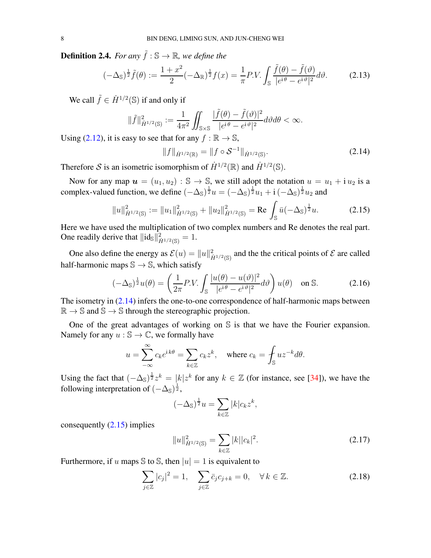**Definition 2.4.** *For any*  $\tilde{f}$  :  $\mathbb{S} \rightarrow \mathbb{R}$ *, we define the* 

$$
(-\Delta_{\mathbb{S}})^{\frac{1}{2}}\tilde{f}(\theta) := \frac{1+x^2}{2}(-\Delta_{\mathbb{R}})^{\frac{1}{2}}f(x) = \frac{1}{\pi}P.V. \int_{\mathbb{S}} \frac{\tilde{f}(\theta) - \tilde{f}(\vartheta)}{|e^{i\theta} - e^{i\vartheta}|^2} d\vartheta.
$$
 (2.13)

We call  $\tilde{f} \in \dot{H}^{1/2}(\mathbb{S})$  if and only if

$$
\|\tilde{f}\|_{\dot{H}^{1/2}(\mathbb{S})}^2 := \frac{1}{4\pi^2} \iint_{\mathbb{S}\times\mathbb{S}} \frac{|\tilde{f}(\theta) - \tilde{f}(\vartheta)|^2}{|e^{i\theta} - e^{i\vartheta}|^2} d\vartheta d\theta < \infty.
$$

Using [\(2.12\)](#page-6-3), it is easy to see that for any  $f : \mathbb{R} \to \mathbb{S}$ ,

<span id="page-7-1"></span><span id="page-7-0"></span>
$$
||f||_{\dot{H}^{1/2}(\mathbb{R})} = ||f \circ \mathcal{S}^{-1}||_{\dot{H}^{1/2}(\mathbb{S})}.
$$
 (2.14)

Therefore S is an isometric isomorphism of  $\dot{H}^{1/2}(\mathbb{R})$  and  $\dot{H}^{1/2}(\mathbb{S})$ .

Now for any map  $u = (u_1, u_2) : \mathbb{S} \to \mathbb{S}$ , we still adopt the notation  $u = u_1 + i u_2$  is a complex-valued function, we define  $(-\Delta_{\mathbb{S}})^{\frac{1}{2}}u = (-\Delta_{\mathbb{S}})^{\frac{1}{2}}u_1 + i(-\Delta_{\mathbb{S}})^{\frac{1}{2}}u_2$  and

$$
||u||_{\dot{H}^{1/2}(\mathbb{S})}^2 := ||u_1||_{\dot{H}^{1/2}(\mathbb{S})}^2 + ||u_2||_{\dot{H}^{1/2}(\mathbb{S})}^2 = \text{Re} \int_{\mathbb{S}} \bar{u}(-\Delta_{\mathbb{S}})^{\frac{1}{2}} u. \tag{2.15}
$$

Here we have used the multiplication of two complex numbers and Re denotes the real part. One readily derive that  $\|\mathrm{id}_{\mathbb{S}}\|_{\dot{H}^{1/2}(\mathbb{S})}^2 = 1.$ 

One also define the energy as  $\mathcal{E}(u) = ||u||^2_{\dot{H}^{1/2}(\mathbb{S})}$  and the the critical points of  $\mathcal E$  are called half-harmonic maps  $\mathbb{S} \to \mathbb{S}$ , which satisfy

$$
(-\Delta_{\mathbb{S}})^{\frac{1}{2}}u(\theta) = \left(\frac{1}{2\pi}P.V.\int_{\mathbb{S}}\frac{|u(\theta) - u(\vartheta)|^2}{|e^{i\theta} - e^{i\vartheta}|^2}d\vartheta\right)u(\theta) \quad \text{on } \mathbb{S}.
$$
 (2.16)

The isometry in  $(2.14)$  infers the one-to-one correspondence of half-harmonic maps between  $\mathbb{R} \to \mathbb{S}$  and  $\mathbb{S} \to \mathbb{S}$  through the stereographic projection.

One of the great advantages of working on S is that we have the Fourier expansion. Namely for any  $u : \mathbb{S} \to \mathbb{C}$ , we formally have

$$
u = \sum_{-\infty}^{\infty} c_k e^{ik\theta} = \sum_{k \in \mathbb{Z}} c_k z^k, \quad \text{where } c_k = \oint_{\mathbb{S}} u z^{-k} d\theta.
$$

Using the fact that  $(-\Delta_{\mathbb{S}})^{\frac{1}{2}}z^k = |k|z^k$  for any  $k \in \mathbb{Z}$  (for instance, see [\[34\]](#page-34-12)), we have the following interpretation of  $(-\Delta_{\mathbb{S}})^{\frac{1}{2}}$ ,

<span id="page-7-3"></span>
$$
(-\Delta_{\mathbb{S}})^{\frac{1}{2}}u = \sum_{k \in \mathbb{Z}} |k| c_k z^k,
$$

consequently [\(2.15\)](#page-7-1) implies

<span id="page-7-4"></span><span id="page-7-2"></span>
$$
||u||_{\dot{H}^{1/2}(\mathbb{S})}^2 = \sum_{k \in \mathbb{Z}} |k||c_k|^2.
$$
 (2.17)

Furthermore, if u maps  $\Im$  to  $\Im$ , then  $|u| = 1$  is equivalent to

$$
\sum_{j\in\mathbb{Z}}|c_j|^2=1,\quad \sum_{j\in\mathbb{Z}}\bar{c}_jc_{j+k}=0,\quad \forall\,k\in\mathbb{Z}.\tag{2.18}
$$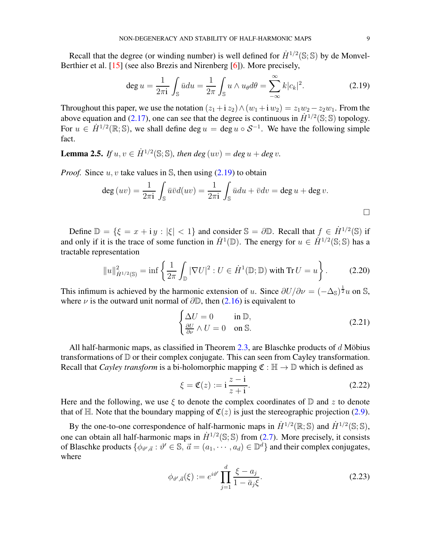Recall that the degree (or winding number) is well defined for  $\dot{H}^{1/2}(\mathbb{S}; \mathbb{S})$  by de Monvel-Berthier et al. [\[15\]](#page-33-15) (see also Brezis and Nirenberg [\[6](#page-33-16)]). More precisely,

<span id="page-8-0"></span>
$$
\deg u = \frac{1}{2\pi i} \int_{\mathbb{S}} \bar{u} du = \frac{1}{2\pi} \int_{\mathbb{S}} u \wedge u_{\theta} d\theta = \sum_{-\infty}^{\infty} k |c_k|^2.
$$
 (2.19)

Throughout this paper, we use the notation  $(z_1 + i z_2) \wedge (w_1 + i w_2) = z_1 w_2 - z_2 w_1$ . From the above equation and [\(2.17\)](#page-7-2), one can see that the degree is continuous in  $\dot{H}^{1/2}(\mathbb{S}; \mathbb{S})$  topology. For  $u \in \dot{H}^{1/2}(\mathbb{R}; \mathbb{S})$ , we shall define deg  $u = \text{deg } u \circ S^{-1}$ . We have the following simple fact.

**Lemma 2.5.** *If*  $u, v \in \dot{H}^{1/2}(\mathbb{S}; \mathbb{S})$ , then  $deg(uv) = deg u + deg v$ .

*Proof.* Since  $u, v$  take values in  $\mathbb{S}$ , then using  $(2.19)$  to obtain

$$
\deg(uv) = \frac{1}{2\pi i} \int_{\mathbb{S}} \bar{u}\bar{v}d(uv) = \frac{1}{2\pi i} \int_{\mathbb{S}} \bar{u}du + \bar{v}dv = \deg u + \deg v.
$$

Define  $\mathbb{D} = \{ \xi = x + iy : |\xi| < 1 \}$  and consider  $\mathbb{S} = \partial \mathbb{D}$ . Recall that  $f \in \dot{H}^{1/2}(\mathbb{S})$  if and only if it is the trace of some function in  $\dot{H}^1(\mathbb{D})$ . The energy for  $u \in \dot{H}^{1/2}(\mathbb{S}; \mathbb{S})$  has a tractable representation

$$
||u||_{\dot{H}^{1/2}(\mathbb{S})}^2 = \inf \left\{ \frac{1}{2\pi} \int_{\mathbb{D}} |\nabla U|^2 : U \in \dot{H}^1(\mathbb{D}; \mathbb{D}) \text{ with Tr } U = u \right\}.
$$
 (2.20)

This infimum is achieved by the harmonic extension of u. Since  $\partial U/\partial \nu = (-\Delta_{\mathbb{S}})^{\frac{1}{2}}u$  on S, where  $\nu$  is the outward unit normal of  $\partial \mathbb{D}$ , then [\(2.16\)](#page-7-3) is equivalent to

<span id="page-8-1"></span>
$$
\begin{cases} \Delta U = 0 & \text{in } \mathbb{D}, \\ \frac{\partial U}{\partial \nu} \wedge U = 0 & \text{on } \mathbb{S}. \end{cases}
$$
 (2.21)

All half-harmonic maps, as classified in Theorem [2.3,](#page-6-0) are Blaschke products of  $d$  Möbius transformations of D or their complex conjugate. This can seen from Cayley transformation. Recall that *Cayley transform* is a bi-holomorphic mapping  $\mathfrak{C} : \mathbb{H} \to \mathbb{D}$  which is defined as

$$
\xi = \mathfrak{C}(z) := i \frac{z - i}{z + i}.
$$
 (2.22)

Here and the following, we use  $\xi$  to denote the complex coordinates of  $\mathbb D$  and z to denote that of H. Note that the boundary mapping of  $\mathfrak{C}(z)$  is just the stereographic projection [\(2.9\)](#page-6-2).

By the one-to-one correspondence of half-harmonic maps in  $\dot{H}^{1/2}(\mathbb{R}; \mathbb{S})$  and  $\dot{H}^{1/2}(\mathbb{S}; \mathbb{S})$ , one can obtain all half-harmonic maps in  $\dot{H}^{1/2}(\mathbb{S}; \mathbb{S})$  from [\(2.7\)](#page-6-4). More precisely, it consists of Blaschke products  $\{\phi_{\vartheta', \vec{a}} : \vartheta' \in \mathbb{S}, \vec{a} = (a_1, \dots, a_d) \in \mathbb{D}^d\}$  and their complex conjugates, where

<span id="page-8-2"></span>
$$
\phi_{\vartheta',\vec{a}}(\xi) := e^{i\vartheta'} \prod_{j=1}^{d} \frac{\xi - a_j}{1 - \bar{a}_j \xi}.
$$
\n(2.23)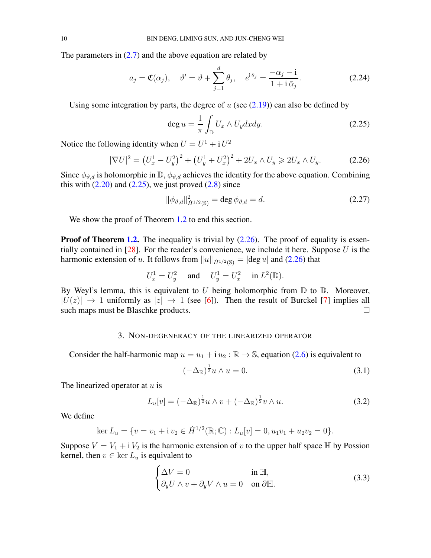The parameters in  $(2.7)$  and the above equation are related by

$$
a_j = \mathfrak{C}(\alpha_j), \quad \vartheta' = \vartheta + \sum_{j=1}^d \theta_j, \quad e^{i\theta_j} = \frac{-\alpha_j - i}{1 + i\,\bar{\alpha}_j}.
$$
 (2.24)

Using some integration by parts, the degree of  $u$  (see  $(2.19)$ ) can also be defined by

<span id="page-9-2"></span><span id="page-9-1"></span>
$$
\deg u = \frac{1}{\pi} \int_{\mathbb{D}} U_x \wedge U_y dx dy. \tag{2.25}
$$

Notice the following identity when  $U = U^1 + i U^2$ 

$$
|\nabla U|^2 = \left(U_x^1 - U_y^2\right)^2 + \left(U_y^1 + U_x^2\right)^2 + 2U_x \wedge U_y \ge 2U_x \wedge U_y. \tag{2.26}
$$

Since  $\phi_{\vartheta,\vec{a}}$  is holomorphic in  $\mathbb{D}, \phi_{\vartheta,\vec{a}}$  achieves the identity for the above equation. Combining this with  $(2.20)$  and  $(2.25)$ , we just proved  $(2.8)$  since

$$
\|\phi_{\vartheta,\vec{a}}\|_{\dot{H}^{1/2}(\mathbb{S})}^2 = \deg \phi_{\vartheta,\vec{a}} = d. \tag{2.27}
$$

We show the proof of Theorem [1.2](#page-2-2) to end this section.

**Proof of Theorem [1.2.](#page-2-2)** The inequality is trivial by  $(2.26)$ . The proof of equality is essentially contained in  $[28]$ . For the reader's convenience, we include it here. Suppose U is the harmonic extension of u. It follows from  $||u||_{\dot{H}^{1/2}(\mathbb{S})} = |\text{deg } u|$  and [\(2.26\)](#page-9-2) that

$$
U^1_x=U^2_y\quad\text{ and }\quad U^1_y=U^2_x\quad\text{ in }L^2(\mathbb{D}).
$$

<span id="page-9-0"></span>By Weyl's lemma, this is equivalent to U being holomorphic from  $\mathbb D$  to  $\mathbb D$ . Moreover,  $|U(z)| \rightarrow 1$  uniformly as  $|z| \rightarrow 1$  (see [\[6](#page-33-16)]). Then the result of Burckel [\[7](#page-33-17)] implies all such maps must be Blaschke products.

#### 3. NON-DEGENERACY OF THE LINEARIZED OPERATOR

Consider the half-harmonic map  $u = u_1 + i u_2 : \mathbb{R} \to \mathbb{S}$ , equation [\(2.6\)](#page-6-1) is equivalent to

<span id="page-9-3"></span>
$$
(-\Delta_{\mathbb{R}})^{\frac{1}{2}}u \wedge u = 0. \tag{3.1}
$$

The linearized operator at  $u$  is

$$
L_u[v] = (-\Delta_{\mathbb{R}})^{\frac{1}{2}} u \wedge v + (-\Delta_{\mathbb{R}})^{\frac{1}{2}} v \wedge u.
$$
 (3.2)

We define

$$
\ker L_u = \{ v = v_1 + i v_2 \in \dot{H}^{1/2}(\mathbb{R}; \mathbb{C}) : L_u[v] = 0, u_1 v_1 + u_2 v_2 = 0 \}.
$$

Suppose  $V = V_1 + i V_2$  is the harmonic extension of v to the upper half space  $\mathbb H$  by Possion kernel, then  $v \in \text{ker } L_u$  is equivalent to

$$
\begin{cases}\n\Delta V = 0 & \text{in } \mathbb{H}, \\
\partial_y U \wedge v + \partial_y V \wedge u = 0 & \text{on } \partial \mathbb{H}.\n\end{cases}
$$
\n(3.3)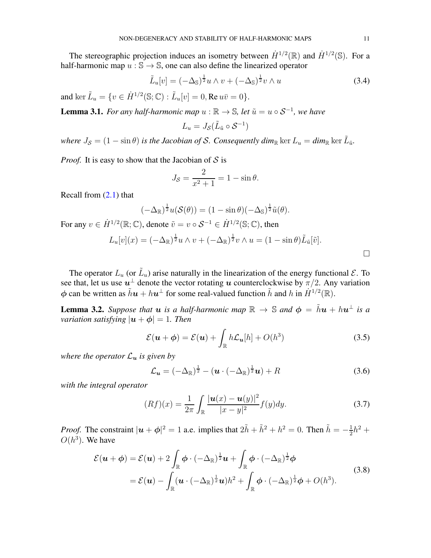The stereographic projection induces an isometry between  $\dot{H}^{1/2}(\mathbb{R})$  and  $\dot{H}^{1/2}(\mathbb{S})$ . For a half-harmonic map  $u : \mathbb{S} \to \mathbb{S}$ , one can also define the linearized operator

$$
\tilde{L}_u[v] = (-\Delta_{\mathbb{S}})^{\frac{1}{2}} u \wedge v + (-\Delta_{\mathbb{S}})^{\frac{1}{2}} v \wedge u \tag{3.4}
$$

and  $\ker \tilde{L}_u = \{ v \in \dot{H}^{1/2}(\mathbb{S}; \mathbb{C}) : \tilde{L}_u[v] = 0, \text{Re } u\bar{v} = 0 \}.$ 

<span id="page-10-2"></span>**Lemma 3.1.** *For any half-harmonic map*  $u : \mathbb{R} \to \mathbb{S}$ *, let*  $\tilde{u} = u \circ S^{-1}$ *, we have* 

$$
L_u = J_{\mathcal{S}}(\tilde{L}_{\tilde{u}} \circ \mathcal{S}^{-1})
$$

*where*  $J_{\mathcal{S}} = (1 - \sin \theta)$  *is the Jacobian of S. Consequently dim*<sub>R</sub> ker  $L_u = dim_{\mathbb{R}}$  ker  $\tilde{L}_{\tilde{u}}$ .

*Proof.* It is easy to show that the Jacobian of  $S$  is

$$
J_{\mathcal{S}} = \frac{2}{x^2 + 1} = 1 - \sin \theta.
$$

Recall from [\(2.1\)](#page-5-2) that

$$
(-\Delta_{\mathbb{R}})^{\frac{1}{2}}u(\mathcal{S}(\theta)) = (1 - \sin \theta)(-\Delta_{\mathbb{S}})^{\frac{1}{2}}\tilde{u}(\theta).
$$

For any  $v \in \dot{H}^{1/2}(\mathbb{R}; \mathbb{C})$ , denote  $\tilde{v} = v \circ \mathcal{S}^{-1} \in \dot{H}^{1/2}(\mathbb{S}; \mathbb{C})$ , then

$$
L_u[v](x) = (-\Delta_{\mathbb{R}})^{\frac{1}{2}} u \wedge v + (-\Delta_{\mathbb{R}})^{\frac{1}{2}} v \wedge u = (1 - \sin \theta) \tilde{L}_{\tilde{u}}[\tilde{v}].
$$

The operator  $L_u$  (or  $\tilde{L}_u$ ) arise naturally in the linearization of the energy functional  $\mathcal{E}$ . To see that, let us use  $u^{\perp}$  denote the vector rotating  $u$  counterclockwise by  $\pi/2$ . Any variation  $\phi$  can be written as  $\tilde{h}u + hu^{\perp}$  for some real-valued function  $\tilde{h}$  and h in  $\dot{H}^{1/2}(\mathbb{R})$ .

<span id="page-10-3"></span>**Lemma 3.2.** Suppose that  $u$  is a half-harmonic map  $\mathbb{R} \to \mathbb{S}$  and  $\phi = \tilde{h}u + hu^{\perp}$  is a *variation satisfying*  $|\boldsymbol{u} + \boldsymbol{\phi}| = 1$ *. Then* 

$$
\mathcal{E}(\boldsymbol{u} + \boldsymbol{\phi}) = \mathcal{E}(\boldsymbol{u}) + \int_{\mathbb{R}} h \mathcal{L}_{\boldsymbol{u}}[h] + O(h^3)
$$
 (3.5)

*where the operator*  $\mathcal{L}_u$  *is given by* 

<span id="page-10-1"></span>
$$
\mathcal{L}_{\mathbf{u}} = (-\Delta_{\mathbb{R}})^{\frac{1}{2}} - (\mathbf{u} \cdot (-\Delta_{\mathbb{R}})^{\frac{1}{2}} \mathbf{u}) + R
$$
\n(3.6)

*with the integral operator*

<span id="page-10-0"></span>
$$
(Rf)(x) = \frac{1}{2\pi} \int_{\mathbb{R}} \frac{|\mathbf{u}(x) - \mathbf{u}(y)|^2}{|x - y|^2} f(y) dy.
$$
 (3.7)

*Proof.* The constraint  $|\mathbf{u} + \phi|^2 = 1$  a.e. implies that  $2\tilde{h} + \tilde{h}^2 + h^2 = 0$ . Then  $\tilde{h} = -\frac{1}{2}$  $\frac{1}{2}h^2 +$  $O(h^3)$ . We have

$$
\mathcal{E}(\boldsymbol{u}+\boldsymbol{\phi})=\mathcal{E}(\boldsymbol{u})+2\int_{\mathbb{R}}\boldsymbol{\phi}\cdot(-\Delta_{\mathbb{R}})^{\frac{1}{2}}\boldsymbol{u}+\int_{\mathbb{R}}\boldsymbol{\phi}\cdot(-\Delta_{\mathbb{R}})^{\frac{1}{2}}\boldsymbol{\phi}=\mathcal{E}(\boldsymbol{u})-\int_{\mathbb{R}}(\boldsymbol{u}\cdot(-\Delta_{\mathbb{R}})^{\frac{1}{2}}\boldsymbol{u})h^{2}+\int_{\mathbb{R}}\boldsymbol{\phi}\cdot(-\Delta_{\mathbb{R}})^{\frac{1}{2}}\boldsymbol{\phi}+O(h^{3}).
$$
\n(3.8)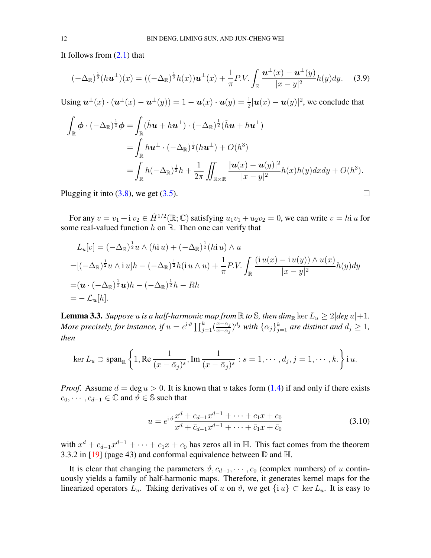It follows from [\(2.1\)](#page-5-2) that

$$
(-\Delta_{\mathbb{R}})^{\frac{1}{2}}(h\boldsymbol{u}^{\perp})(x) = ((-\Delta_{\mathbb{R}})^{\frac{1}{2}}h(x))\boldsymbol{u}^{\perp}(x) + \frac{1}{\pi}P.V.\int_{\mathbb{R}}\frac{\boldsymbol{u}^{\perp}(x) - \boldsymbol{u}^{\perp}(y)}{|x - y|^{2}}h(y)dy. \tag{3.9}
$$

Using  $\mathbf{u}^{\perp}(x) \cdot (\mathbf{u}^{\perp}(x) - \mathbf{u}^{\perp}(y)) = 1 - \mathbf{u}(x) \cdot \mathbf{u}(y) = \frac{1}{2} |\mathbf{u}(x) - \mathbf{u}(y)|^2$ , we conclude that

$$
\int_{\mathbb{R}} \phi \cdot (-\Delta_{\mathbb{R}})^{\frac{1}{2}} \phi = \int_{\mathbb{R}} (\tilde{h}u + h u^{\perp}) \cdot (-\Delta_{\mathbb{R}})^{\frac{1}{2}} (\tilde{h}u + h u^{\perp})
$$
\n
$$
= \int_{\mathbb{R}} h u^{\perp} \cdot (-\Delta_{\mathbb{R}})^{\frac{1}{2}} (h u^{\perp}) + O(h^3)
$$
\n
$$
= \int_{\mathbb{R}} h (-\Delta_{\mathbb{R}})^{\frac{1}{2}} h + \frac{1}{2\pi} \iint_{\mathbb{R} \times \mathbb{R}} \frac{|u(x) - u(y)|^2}{|x - y|^2} h(x) h(y) dx dy + O(h^3).
$$

Plugging it into [\(3.8\)](#page-10-0), we get [\(3.5\)](#page-10-1).

For any  $v = v_1 + i v_2 \in \dot{H}^{1/2}(\mathbb{R}; \mathbb{C})$  satisfying  $u_1v_1 + u_2v_2 = 0$ , we can write  $v = h$ i u for some real-valued function  $h$  on  $\mathbb R$ . Then one can verify that

$$
L_u[v] = (-\Delta_{\mathbb{R}})^{\frac{1}{2}} u \wedge (hiu) + (-\Delta_{\mathbb{R}})^{\frac{1}{2}} (hiu) \wedge u
$$
  
= [(-\Delta\_{\mathbb{R}})^{\frac{1}{2}} u \wedge i u]h - (-\Delta\_{\mathbb{R}})^{\frac{1}{2}} h(i u \wedge u) + \frac{1}{\pi} P.V. \int\_{\mathbb{R}} \frac{(i u(x) - i u(y)) \wedge u(x)}{|x - y|^2} h(y) dy  
= (\mathbf{u} \cdot (-\Delta\_{\mathbb{R}})^{\frac{1}{2}} \mathbf{u})h - (-\Delta\_{\mathbb{R}})^{\frac{1}{2}} h - Rh  
= - \mathcal{L}\_u[h].

<span id="page-11-0"></span>**Lemma 3.3.** *Suppose* u *is a half-harmonic map from*  $\mathbb R$  *to*  $\mathbb S$ *, then dim*<sub> $\mathbb R$ </sub> ker  $L_u \geq 2 | deg u | + 1$ *. More precisely, for instance, if*  $u = e^{\mathrm{i}\vartheta} \prod_{j=1}^k (\frac{x-\alpha_j}{x-\bar{\alpha}_j})$  $\frac{x-\alpha_j}{x-\bar{\alpha}_j}$ <sup>d<sub>j</sub></sup> with  $\{\alpha_j\}_{j=1}^k$  are distinct and  $d_j \geq 1$ , *then*

$$
\ker L_u \supset \operatorname{span}_{\mathbb{R}} \left\{ 1, \operatorname{Re} \frac{1}{(x - \bar{\alpha}_j)^s}, \operatorname{Im} \frac{1}{(x - \bar{\alpha}_j)^s} : s = 1, \cdots, d_j, j = 1, \cdots, k. \right\} \mathrm{i} \, u.
$$

*Proof.* Assume  $d = \deg u > 0$ . It is known that u takes form [\(1.4\)](#page-1-4) if and only if there exists  $c_0, \dots, c_{d-1} \in \mathbb{C}$  and  $\vartheta \in \mathbb{S}$  such that

$$
u = e^{i\vartheta} \frac{x^d + c_{d-1}x^{d-1} + \dots + c_1x + c_0}{x^d + \bar{c}_{d-1}x^{d-1} + \dots + \bar{c}_1x + \bar{c}_0}
$$
(3.10)

with  $x^d + c_{d-1}x^{d-1} + \cdots + c_1x + c_0$  has zeros all in H. This fact comes from the theorem 3.3.2 in [\[19\]](#page-34-16) (page 43) and conformal equivalence between  $\mathbb D$  and  $\mathbb H$ .

It is clear that changing the parameters  $\vartheta$ ,  $c_{d-1}$ ,  $\dots$ ,  $c_0$  (complex numbers) of u continuously yields a family of half-harmonic maps. Therefore, it generates kernel maps for the linearized operators  $L_u$ . Taking derivatives of u on  $\vartheta$ , we get  $\{i\,u\}\subset \ker L_u$ . It is easy to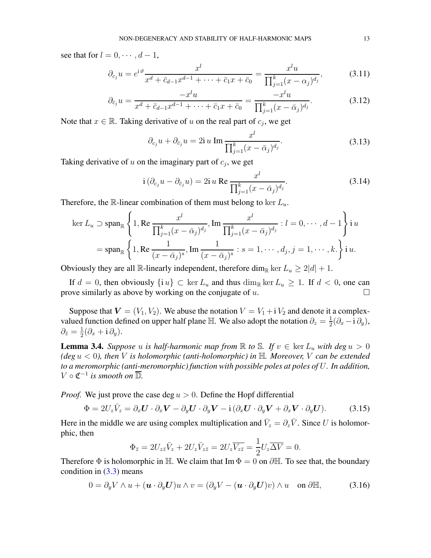see that for  $l = 0, \dots, d - 1$ ,

$$
\partial_{c_j} u = e^{i\vartheta} \frac{x^l}{x^d + \bar{c}_{d-1} x^{d-1} + \dots + \bar{c}_1 x + \bar{c}_0} = \frac{x^l u}{\prod_{j=1}^k (x - \alpha_j)^{d_j}},
$$
(3.11)

$$
\partial_{\bar{c}_j} u = \frac{-x^l u}{x^d + \bar{c}_{d-1} x^{d-1} + \dots + \bar{c}_1 x + \bar{c}_0} = \frac{-x^l u}{\prod_{j=1}^k (x - \bar{\alpha}_j)^{d_j}}.
$$
(3.12)

Note that  $x \in \mathbb{R}$ . Taking derivative of u on the real part of  $c_j$ , we get

$$
\partial_{c_j} u + \partial_{\bar{c}_j} u = 2i u \operatorname{Im} \frac{x^l}{\prod_{j=1}^k (x - \bar{\alpha}_j)^{d_j}}.
$$
\n(3.13)

Taking derivative of  $u$  on the imaginary part of  $c_j$ , we get

$$
i\left(\partial_{c_j}u - \partial_{\bar{c}_j}u\right) = 2i u \operatorname{Re} \frac{x^l}{\prod_{j=1}^k (x - \bar{\alpha}_j)^{d_j}}.
$$
\n(3.14)

Therefore, the R-linear combination of them must belong to ker  $L_u$ .

$$
\ker L_u \supset \operatorname{span}_{\mathbb{R}} \left\{ 1, \operatorname{Re} \frac{x^l}{\prod_{j=1}^k (x - \bar{\alpha}_j)^{d_j}}, \operatorname{Im} \frac{x^l}{\prod_{j=1}^k (x - \bar{\alpha}_j)^{d_j}} : l = 0, \cdots, d - 1 \right\} \operatorname{in}_{\mathbb{R}} \left\{ 1, \operatorname{Re} \frac{1}{(x - \bar{\alpha}_j)^s}, \operatorname{Im} \frac{1}{(x - \bar{\alpha}_j)^s} : s = 1, \cdots, d_j, j = 1, \cdots, k. \right\} \operatorname{in}_{\mathbb{R}}.
$$

Obviously they are all R-linearly independent, therefore dim<sub>R</sub> ker  $L_u \geq 2|d| + 1$ .

If  $d = 0$ , then obviously  $\{i u\} \subset \text{ker } L_u$  and thus  $\dim_{\mathbb{R}} \text{ker } L_u \geq 1$ . If  $d < 0$ , one can prove similarly as above by working on the conjugate of u.

Suppose that  $V = (V_1, V_2)$ . We abuse the notation  $V = V_1 + i V_2$  and denote it a complexvalued function defined on upper half plane  $\mathbb{H}$ . We also adopt the notation  $\partial_z = \frac{1}{2}$  $rac{1}{2}(\partial_x - i \partial_y),$  $\partial_{\bar z} = \frac{1}{2}$  $rac{1}{2}(\partial_x + i \partial_y).$ 

<span id="page-12-0"></span>**Lemma 3.4.** Suppose u is half-harmonic map from  $\mathbb R$  to  $\mathbb S$ . If  $v \in \text{ker } L_u$  with deg  $u > 0$ *(deg* u < 0*), then* V *is holomorphic (anti-holomorphic) in* H*. Moreover,* V *can be extended to a meromorphic (anti-meromorphic) function with possible poles at poles of* U*. In addition,*  $V \circ \mathfrak{C}^{-1}$  is smooth on  $\overline{\mathbb{D}}$ .

*Proof.* We just prove the case deg  $u > 0$ . Define the Hopf differential

$$
\Phi = 2U_z\bar{V}_z = \partial_x \mathbf{U} \cdot \partial_x \mathbf{V} - \partial_y \mathbf{U} \cdot \partial_y \mathbf{V} - i(\partial_x \mathbf{U} \cdot \partial_y \mathbf{V} + \partial_x \mathbf{V} \cdot \partial_y \mathbf{U}).
$$
 (3.15)

Here in the middle we are using complex multiplication and  $\bar{V}_z = \partial_z \bar{V}$ . Since U is holomorphic, then

$$
\Phi_{\bar{z}} = 2U_{z\bar{z}}\bar{V}_z + 2U_z\bar{V}_{z\bar{z}} = 2U_z\overline{V_{z\bar{z}}} = \frac{1}{2}U_z\overline{\Delta V} = 0.
$$

Therefore  $\Phi$  is holomorphic in H. We claim that Im  $\Phi = 0$  on  $\partial \mathbb{H}$ . To see that, the boundary condition in  $(3.3)$  means

$$
0 = \partial_y V \wedge u + (\mathbf{u} \cdot \partial_y \mathbf{U}) u \wedge v = (\partial_y V - (\mathbf{u} \cdot \partial_y \mathbf{U}) v) \wedge u \quad \text{on } \partial \mathbb{H}, \tag{3.16}
$$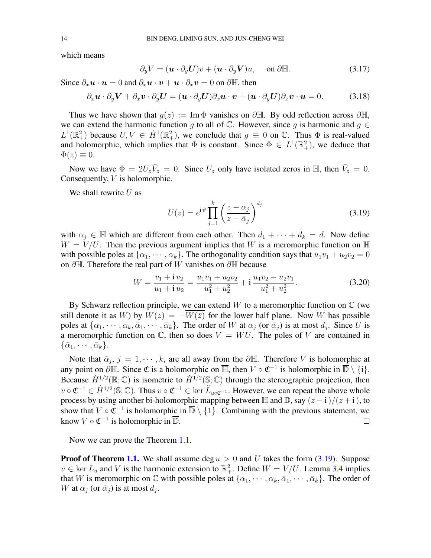which means

$$
\partial_y V = (\mathbf{u} \cdot \partial_y \mathbf{U}) v + (\mathbf{u} \cdot \partial_y \mathbf{V}) u, \quad \text{on } \partial \mathbb{H}.
$$
 (3.17)

Since  $\partial_x \mathbf{u} \cdot \mathbf{u} = 0$  and  $\partial_x \mathbf{u} \cdot \mathbf{v} + \mathbf{u} \cdot \partial_x \mathbf{v} = 0$  on  $\partial \mathbb{H}$ , then

$$
\partial_x \mathbf{u} \cdot \partial_y \mathbf{V} + \partial_x \mathbf{v} \cdot \partial_y \mathbf{U} = (\mathbf{u} \cdot \partial_y \mathbf{U}) \partial_x \mathbf{u} \cdot \mathbf{v} + (\mathbf{u} \cdot \partial_y \mathbf{U}) \partial_x \mathbf{v} \cdot \mathbf{u} = 0. \tag{3.18}
$$

Thus we have shown that  $g(z) := \text{Im }\Phi$  vanishes on  $\partial \mathbb{H}$ . By odd reflection across  $\partial \mathbb{H}$ , we can extend the harmonic function q to all of  $\mathbb C$ . However, since q is harmonic and  $q \in$  $L^1(\mathbb{R}^2_+)$  because  $U, V \in \dot{H}^1(\mathbb{R}^2_+)$ , we conclude that  $g \equiv 0$  on  $\mathbb{C}$ . Thus  $\Phi$  is real-valued and holomorphic, which implies that  $\Phi$  is constant. Since  $\Phi \in L^1(\mathbb{R}^2_+)$ , we deduce that  $\Phi(z) \equiv 0.$ 

Now we have  $\Phi = 2U_z \bar{V}_z = 0$ . Since  $U_z$  only have isolated zeros in  $\mathbb{H}$ , then  $\bar{V}_z = 0$ . Consequently, V is holomorphic.

We shall rewrite  $U$  as

<span id="page-13-0"></span>
$$
U(z) = e^{i\vartheta} \prod_{j=1}^{k} \left(\frac{z - \alpha_j}{z - \bar{\alpha}_j}\right)^{d_j}
$$
(3.19)

with  $\alpha_j \in \mathbb{H}$  which are different from each other. Then  $d_1 + \cdots + d_k = d$ . Now define  $W = V/U$ . Then the previous argument implies that W is a meromorphic function on  $\mathbb{H}$ with possible poles at  $\{\alpha_1, \cdots, \alpha_k\}$ . The orthogonality condition says that  $u_1v_1 + u_2v_2 = 0$ on ∂H. Therefore the real part of W vanishes on ∂H because

$$
W = \frac{v_1 + iv_2}{u_1 + i u_2} = \frac{u_1 v_1 + u_2 v_2}{u_1^2 + u_2^2} + i \frac{u_1 v_2 - u_2 v_1}{u_1^2 + u_2^2}.
$$
 (3.20)

By Schwarz reflection principle, we can extend  $W$  to a meromorphic function on  $\mathbb C$  (we still denote it as W) by  $W(z) = -\overline{W(\overline{z})}$  for the lower half plane. Now W has possible poles at  $\{\alpha_1, \dots, \alpha_k, \bar{\alpha}_1, \dots, \bar{\alpha}_k\}$ . The order of W at  $\alpha_j$  (or  $\bar{\alpha}_j$ ) is at most  $d_j$ . Since U is a meromorphic function on  $\mathbb{C}$ , then so does  $V = WU$ . The poles of V are contained in  $\{\bar{\alpha}_1, \cdots, \bar{\alpha}_k\}.$ 

Note that  $\bar{\alpha}_j$ ,  $j = 1, \dots, k$ , are all away from the  $\partial \mathbb{H}$ . Therefore V is holomorphic at any point on  $\partial \mathbb{H}$ . Since  $\mathfrak{C}$  is a holomorphic on  $\overline{\mathbb{H}}$ , then  $V \circ \mathfrak{C}^{-1}$  is holomorphic in  $\overline{\mathbb{D}} \setminus \{i\}$ . Because  $\dot{H}^{1/2}(\mathbb{R};\mathbb{C})$  is isometric to  $\dot{H}^{1/2}(\mathbb{S};\mathbb{C})$  through the stereographic projection, then  $v \circ \mathfrak{C}^{-1} \in \dot{H}^{1/2}(\mathbb{S}; \mathbb{C})$ . Thus  $v \circ \mathfrak{C}^{-1} \in \ker \tilde{L}_{u \circ \mathfrak{C}^{-1}}$ . However, we can repeat the above whole process by using another bi-holomorphic mapping between H and D, say  $(z - i)/(z + i)$ , to show that  $V \circ \mathfrak{C}^{-1}$  is holomorphic in  $\overline{\mathbb{D}} \setminus \{1\}$ . Combining with the previous statement, we know  $V \circ \mathfrak{C}^{-1}$  is holomorphic in  $\overline{\mathbb{D}}$ .

Now we can prove the Theorem [1.1.](#page-2-1)

**Proof of Theorem [1.1.](#page-2-1)** We shall assume deg  $u > 0$  and U takes the form [\(3.19\)](#page-13-0). Suppose  $v \in \text{ker } L_u$  and V is the harmonic extension to  $\mathbb{R}^2_+$ . Define  $W = V/U$ . Lemma [3.4](#page-12-0) implies that W is meromorphic on  $\mathbb C$  with possible poles at  $\{\alpha_1, \dots, \alpha_k, \bar{\alpha}_1, \dots, \bar{\alpha}_k\}$ . The order of W at  $\alpha_j$  (or  $\bar{\alpha}_j$ ) is at most  $d_j$ .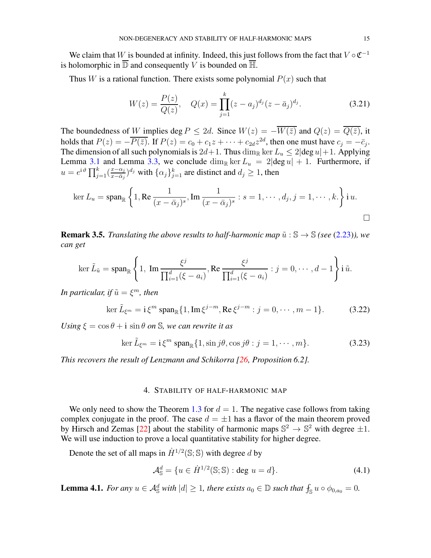We claim that W is bounded at infinity. Indeed, this just follows from the fact that  $V \circ \mathfrak{C}^{-1}$ is holomorphic in  $\overline{\mathbb{D}}$  and consequently V is bounded on  $\overline{\mathbb{H}}$ .

Thus W is a rational function. There exists some polynomial  $P(x)$  such that

$$
W(z) = \frac{P(z)}{Q(z)}, \quad Q(x) = \prod_{j=1}^{k} (z - a_j)^{d_j} (z - \bar{a}_j)^{d_j}.
$$
 (3.21)

The boundedness of W implies deg  $P \le 2d$ . Since  $W(z) = -\overline{W(\overline{z})}$  and  $Q(z) = \overline{Q(\overline{z})}$ , it holds that  $P(z) = -\overline{P(\bar{z})}$ . If  $P(z) = c_0 + c_1 z + \cdots + c_{2d} z^{2d}$ , then one must have  $c_j = -\overline{c}_j$ . The dimension of all such polynomials is  $2d+1$ . Thus  $\dim_{\mathbb{R}} \ker L_u \leq 2|\text{deg } u|+1$ . Applying Lemma [3.1](#page-10-2) and Lemma [3.3,](#page-11-0) we conclude  $\dim_{\mathbb{R}} \ker L_u = 2|\deg u| + 1$ . Furthermore, if  $u=e^{\mathrm{i}\,\vartheta}\prod_{j=1}^k(\frac{x-\alpha_j}{x-\bar{\alpha}_j})$  $\frac{x-\alpha_j}{x-\bar{\alpha}_j}$ <sup>d<sub>j</sub></sup> with  $\{\alpha_j\}_{j=1}^k$  are distinct and  $d_j \ge 1$ , then

$$
\ker L_u = \operatorname{span}_{\mathbb{R}} \left\{ 1, \operatorname{Re} \frac{1}{(x - \bar{\alpha}_j)^s}, \operatorname{Im} \frac{1}{(x - \bar{\alpha}_j)^s} : s = 1, \cdots, d_j, j = 1, \cdots, k. \right\} \text{ i } u.
$$

**Remark 3.5.** *Translating the above results to half-harmonic map*  $\tilde{u}$  :  $\mathbb{S} \rightarrow \mathbb{S}$  *(see* [\(2.23\)](#page-8-2)*)*, we *can get*

$$
\ker \tilde{L}_{\tilde{u}} = \operatorname{span}_{\mathbb{R}} \left\{ 1, \ \operatorname{Im} \frac{\xi^j}{\prod_{i=1}^d (\xi - a_i)}, \operatorname{Re} \frac{\xi^j}{\prod_{i=1}^d (\xi - a_i)} : j = 0, \cdots, d - 1 \right\} \operatorname{i} \tilde{u}.
$$

*In particular, if*  $\tilde{u} = \xi^m$ *, then* 

$$
\ker \tilde{L}_{\xi^m} = \mathrm{i} \, \xi^m \, \mathrm{span}_{\mathbb{R}} \{ 1, \mathrm{Im} \, \xi^{j-m}, \mathrm{Re} \, \xi^{j-m} : j = 0, \cdots, m-1 \}. \tag{3.22}
$$

*Using*  $\xi = \cos \theta + i \sin \theta$  *on S, we can rewrite it as* 

$$
\ker \tilde{L}_{\xi^m} = \mathbf{i} \, \xi^m \, \text{span}_{\mathbb{R}} \{ 1, \sin j\theta, \cos j\theta : j = 1, \cdots, m \}. \tag{3.23}
$$

<span id="page-14-0"></span>*This recovers the result of Lenzmann and Schikorra [\[26](#page-34-10), Proposition 6.2].*

### 4. STABILITY OF HALF-HARMONIC MAP

We only need to show the Theorem [1.3](#page-3-2) for  $d = 1$ . The negative case follows from taking complex conjugate in the proof. The case  $d = \pm 1$  has a flavor of the main theorem proved by Hirsch and Zemas [\[22](#page-34-14)] about the stability of harmonic maps  $\mathbb{S}^2 \to \mathbb{S}^2$  with degree  $\pm 1$ . We will use induction to prove a local quantitative stability for higher degree.

Denote the set of all maps in  $\dot{H}^{1/2}(\mathbb{S}; \mathbb{S})$  with degree d by

$$
\mathcal{A}_{\mathbb{S}}^d = \{ u \in \dot{H}^{1/2}(\mathbb{S}; \mathbb{S}) : \text{deg } u = d \}. \tag{4.1}
$$

<span id="page-14-1"></span>**Lemma 4.1.** *For any*  $u \in A^d$  *with*  $|d| \geq 1$ *, there exists*  $a_0 \in \mathbb{D}$  *such that*  $f_s u \circ \phi_{0,a_0} = 0$ *.*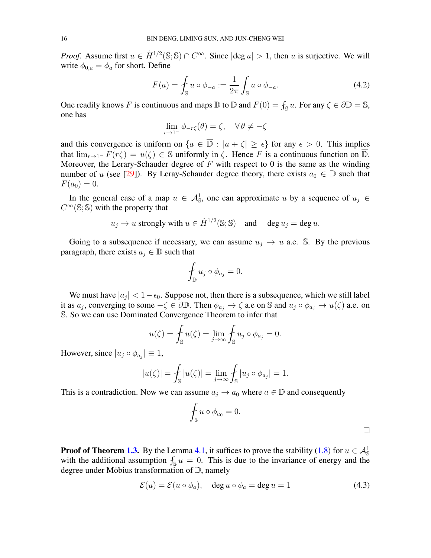*Proof.* Assume first  $u \in \dot{H}^{1/2}(\mathbb{S}; \mathbb{S}) \cap C^{\infty}$ . Since  $|\text{deg } u| > 1$ , then u is surjective. We will write  $\phi_{0,a} = \phi_a$  for short. Define

$$
F(a) = \int_{\mathbb{S}} u \circ \phi_{-a} := \frac{1}{2\pi} \int_{\mathbb{S}} u \circ \phi_{-a}.
$$
 (4.2)

One readily knows F is continuous and maps  $\mathbb D$  to  $\mathbb D$  and  $F(0) = \int_{\mathbb S} u$ . For any  $\zeta \in \partial \mathbb D = \mathbb S$ , one has

$$
\lim_{r \to 1^{-}} \phi_{-r\zeta}(\theta) = \zeta, \quad \forall \, \theta \neq -\zeta
$$

and this convergence is uniform on  $\{a \in \overline{D} : |a + \zeta| \ge \epsilon\}$  for any  $\epsilon > 0$ . This implies that  $\lim_{r\to 1^-} F(r\zeta) = u(\zeta) \in \mathbb{S}$  uniformly in  $\zeta$ . Hence F is a continuous function on  $\overline{\mathbb{D}}$ . Moreover, the Lerary-Schauder degree of  $F$  with respect to 0 is the same as the winding number of u (see [\[29](#page-34-17)]). By Leray-Schauder degree theory, there exists  $a_0 \in \mathbb{D}$  such that  $F(a_0) = 0.$ 

In the general case of a map  $u \in \mathcal{A}_{\mathbb{S}}^1$ , one can approximate u by a sequence of  $u_j \in$  $C^{\infty}(\mathbb{S};\mathbb{S})$  with the property that

$$
u_j \to u
$$
 strongly with  $u \in \dot{H}^{1/2}(\mathbb{S}; \mathbb{S})$  and  $\deg u_j = \deg u$ .

Going to a subsequence if necessary, we can assume  $u_i \rightarrow u$  a.e. S. By the previous paragraph, there exists  $a_i \in \mathbb{D}$  such that

$$
\oint_{\mathbb{D}} u_j \circ \phi_{a_j} = 0.
$$

We must have  $|a_j| < 1 - \epsilon_0$ . Suppose not, then there is a subsequence, which we still label it as  $a_j$ , converging to some  $-\zeta \in \partial \mathbb{D}$ . Then  $\phi_{a_j} \to \zeta$  a.e on S and  $u_j \circ \phi_{a_j} \to u(\zeta)$  a.e. on S. So we can use Dominated Convergence Theorem to infer that

$$
u(\zeta) = \int_{\mathbb{S}} u(\zeta) = \lim_{j \to \infty} \int_{\mathbb{S}} u_j \circ \phi_{a_j} = 0.
$$

However, since  $|u_j \circ \phi_{a_j}| \equiv 1$ ,

$$
|u(\zeta)| = \int_{\mathbb{S}} |u(\zeta)| = \lim_{j \to \infty} \int_{\mathbb{S}} |u_j \circ \phi_{a_j}| = 1.
$$

This is a contradiction. Now we can assume  $a_j \to a_0$  where  $a \in \mathbb{D}$  and consequently

$$
\oint_{\mathbb{S}} u \circ \phi_{a_0} = 0.
$$

**Proof of Theorem [1.3.](#page-3-2)** By the Lemma [4.1,](#page-14-1) it suffices to prove the stability [\(1.8\)](#page-3-0) for  $u \in A_{\mathbb{S}}^1$ with the additional assumption  $f_{\rm S} u = 0$ . This is due to the invariance of energy and the degree under Möbius transformation of  $\mathbb{D}$ , namely

$$
\mathcal{E}(u) = \mathcal{E}(u \circ \phi_a), \quad \deg u \circ \phi_a = \deg u = 1 \tag{4.3}
$$

 $\Box$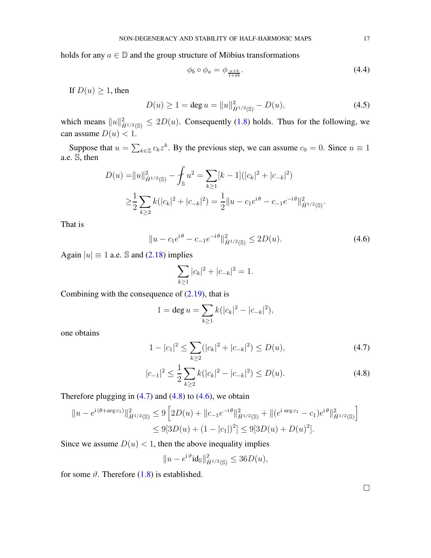holds for any  $a \in \mathbb{D}$  and the group structure of Möbius transformations

$$
\phi_b \circ \phi_a = \phi_{\frac{a+b}{1+\bar{a}b}}.\tag{4.4}
$$

If  $D(u) \geq 1$ , then

$$
D(u) \ge 1 = \deg u = ||u||_{\dot{H}^{1/2}(\mathbb{S})}^2 - D(u),\tag{4.5}
$$

which means  $||u||_{\dot{H}^{1/2}(\mathbb{S})}^2 \leq 2D(u)$ . Consequently [\(1.8\)](#page-3-0) holds. Thus for the following, we can assume  $D(u) < 1$ .

Suppose that  $u = \sum_{k \in \mathbb{Z}} c_k z^k$ . By the previous step, we can assume  $c_0 = 0$ . Since  $u \equiv 1$ a.e. S, then

$$
D(u) = ||u||_{\dot{H}^{1/2}(\mathbb{S})}^2 - \int_{\mathbb{S}} u^2 = \sum_{k \ge 1} [k-1] (|c_k|^2 + |c_{-k}|^2)
$$
  

$$
\ge \frac{1}{2} \sum_{k \ge 2} k (|c_k|^2 + |c_{-k}|^2) = \frac{1}{2} ||u - c_1 e^{i\theta} - c_{-1} e^{-i\theta} ||_{\dot{H}^{1/2}(\mathbb{S})}^2.
$$

That is

$$
||u - c_1 e^{i\theta} - c_{-1} e^{-i\theta}||_{\dot{H}^{1/2}(\mathbb{S})}^2 \le 2D(u). \tag{4.6}
$$

Again  $|u| \equiv 1$  a.e. S and [\(2.18\)](#page-7-4) implies

<span id="page-16-2"></span>
$$
\sum_{k\geq 1} |c_k|^2 + |c_{-k}|^2 = 1.
$$

Combining with the consequence of  $(2.19)$ , that is

$$
1 = \deg u = \sum_{k \ge 1} k(|c_k|^2 - |c_{-k}|^2),
$$

one obtains

$$
1 - |c_1|^2 \le \sum_{k \ge 2} (|c_k|^2 + |c_{-k}|^2) \le D(u),\tag{4.7}
$$

$$
|c_{-1}|^2 \le \frac{1}{2} \sum_{k \ge 2} k(|c_k|^2 - |c_{-k}|^2) \le D(u). \tag{4.8}
$$

Therefore plugging in  $(4.7)$  and  $(4.8)$  to  $(4.6)$ , we obtain

$$
||u - e^{i(\theta + \arg c_1)}||_{\dot{H}^{1/2}(\mathbb{S})}^2 \le 9 \left[ 2D(u) + ||c_{-1}e^{-i\theta}||_{\dot{H}^{1/2}(\mathbb{S})}^2 + ||(e^{i \arg c_1} - c_1)e^{i\theta}||_{\dot{H}^{1/2}(\mathbb{S})}^2 \right]
$$
  

$$
\le 9[3D(u) + (1 - |c_1|)^2] \le 9[3D(u) + D(u)^2].
$$

Since we assume  $D(u) < 1$ , then the above inequality implies

$$
||u - e^{i\vartheta} id_{\mathbb{S}}||_{\dot{H}^{1/2}(\mathbb{S})}^2 \le 36D(u),
$$

for some  $\vartheta$ . Therefore [\(1.8\)](#page-3-0) is established.

<span id="page-16-1"></span><span id="page-16-0"></span> $\Box$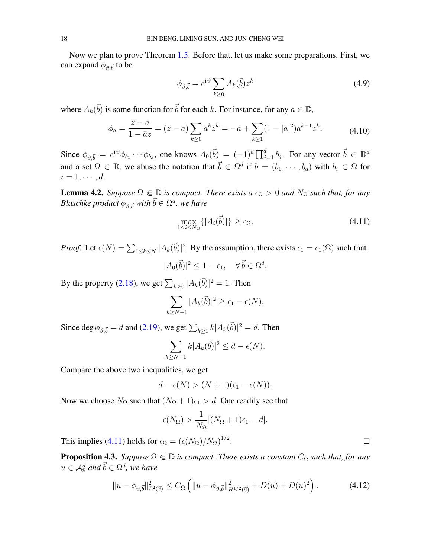Now we plan to prove Theorem [1.5.](#page-3-1) Before that, let us make some preparations. First, we can expand  $\phi_{\vartheta,\vec{b}}$  to be

$$
\phi_{\vartheta,\vec{b}} = e^{\mathrm{i}\,\vartheta} \sum_{k\geq 0} A_k(\vec{b}) z^k \tag{4.9}
$$

where  $A_k(\vec{b})$  is some function for  $\vec{b}$  for each k. For instance, for any  $a \in \mathbb{D}$ ,

$$
\phi_a = \frac{z - a}{1 - \bar{a}z} = (z - a) \sum_{k \ge 0} \bar{a}^k z^k = -a + \sum_{k \ge 1} (1 - |a|^2) \bar{a}^{k-1} z^k.
$$
 (4.10)

Since  $\phi_{\vartheta, \vec{b}} = e^{i \vartheta} \phi_{b_1} \cdots \phi_{b_d}$ , one knows  $A_0(\vec{b}) = (-1)^d \prod_{j=1}^d b_j$ . For any vector  $\vec{b} \in \mathbb{D}^d$ and a set  $\Omega \in \mathbb{D}$ , we abuse the notation that  $\vec{b} \in \Omega^d$  if  $b = (b_1, \dots, b_d)$  with  $b_i \in \Omega$  for  $i=1,\cdots,d.$ 

<span id="page-17-1"></span>**Lemma 4.2.** *Suppose*  $\Omega \in \mathbb{D}$  *is compact. There exists a*  $\epsilon_{\Omega} > 0$  *and*  $N_{\Omega}$  *such that, for any*  $\mathit{Blaschke}$   $\mathit{product}~\phi_{\vartheta,\vec{b}}$   $\mathit{with}~\vec{b}\in\Omega^d,$  we have

<span id="page-17-0"></span>
$$
\max_{1 \le i \le N_{\Omega}} \{|A_i(\vec{b})|\} \ge \epsilon_{\Omega}.\tag{4.11}
$$

*Proof.* Let  $\epsilon(N) = \sum_{1 \le k \le N} |A_k(\vec{b})|^2$ . By the assumption, there exists  $\epsilon_1 = \epsilon_1(\Omega)$  such that

$$
|A_0(\vec{b})|^2 \le 1 - \epsilon_1, \quad \forall \, \vec{b} \in \Omega^d.
$$

By the property [\(2.18\)](#page-7-4), we get  $\sum_{k\geq 0} |A_k(\vec{b})|^2 = 1$ . Then

$$
\sum_{k\geq N+1} |A_k(\vec{b})|^2 \geq \epsilon_1 - \epsilon(N).
$$

Since deg  $\phi_{\vartheta, \vec{b}} = d$  and [\(2.19\)](#page-8-0), we get  $\sum_{k \geq 1} k |A_k(\vec{b})|^2 = d$ . Then

$$
\sum_{k\geq N+1} k|A_k(\vec{b})|^2 \leq d-\epsilon(N).
$$

Compare the above two inequalities, we get

$$
d-\epsilon(N) > (N+1)(\epsilon_1 - \epsilon(N)).
$$

Now we choose  $N_{\Omega}$  such that  $(N_{\Omega} + 1)\epsilon_1 > d$ . One readily see that

$$
\epsilon(N_{\Omega}) > \frac{1}{N_{\Omega}}[(N_{\Omega} + 1)\epsilon_1 - d].
$$

This implies [\(4.11\)](#page-17-0) holds for  $\epsilon_{\Omega} = (\epsilon (N_{\Omega})/N_{\Omega})^{1/2}$ 

<span id="page-17-2"></span>**Proposition 4.3.** *Suppose*  $\Omega \in \mathbb{D}$  *is compact. There exists a constant*  $C_{\Omega}$  *such that, for any*  $u \in {\cal A}_{\mathbb S}^d$  and  $\vec{b} \in \Omega^d$ , we have

$$
||u - \phi_{\vartheta, \vec{b}}||_{L^{2}(\mathbb{S})}^{2} \leq C_{\Omega} \left( ||u - \phi_{\vartheta, \vec{b}}||_{\dot{H}^{1/2}(\mathbb{S})}^{2} + D(u) + D(u)^{2} \right). \tag{4.12}
$$

.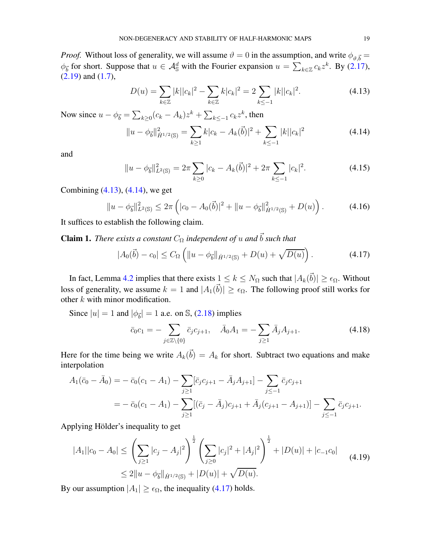*Proof.* Without loss of generality, we will assume  $\vartheta = 0$  in the assumption, and write  $\phi_{\vartheta, \vec{b}} =$  $\phi_{\vec{b}}$  for short. Suppose that  $u \in \mathcal{A}_{\mathbb{S}}^d$  with the Fourier expansion  $u = \sum_{k \in \mathbb{Z}} c_k z^k$ . By [\(2.17\)](#page-7-2),  $(2.19)$  and  $(1.7)$ ,

<span id="page-18-1"></span><span id="page-18-0"></span>
$$
D(u) = \sum_{k \in \mathbb{Z}} |k||c_k|^2 - \sum_{k \in \mathbb{Z}} k|c_k|^2 = 2 \sum_{k \le -1} |k||c_k|^2.
$$
 (4.13)

Now since  $u - \phi_{\vec{b}} = \sum_{k \ge 0} (c_k - A_k) z^k + \sum_{k \le -1} c_k z^k$ , then

$$
||u - \phi_{\vec{b}}||_{\dot{H}^{1/2}(\mathbb{S})}^{2} = \sum_{k \ge 1} k|c_{k} - A_{k}(\vec{b})|^{2} + \sum_{k \le -1} |k||c_{k}|^{2}
$$
(4.14)

and

$$
||u - \phi_{\vec{b}}||_{L^{2}(\mathbb{S})}^{2} = 2\pi \sum_{k \ge 0} |c_{k} - A_{k}(\vec{b})|^{2} + 2\pi \sum_{k \le -1} |c_{k}|^{2}.
$$
 (4.15)

Combining [\(4.13\)](#page-18-0), [\(4.14\)](#page-18-1), we get

$$
||u - \phi_{\vec{b}}||_{L^{2}(\mathbb{S})}^{2} \leq 2\pi \left( |c_{0} - A_{0}(\vec{b})|^{2} + ||u - \phi_{\vec{b}}||_{\dot{H}^{1/2}(\mathbb{S})}^{2} + D(u) \right).
$$
 (4.16)

It suffices to establish the following claim.

**Claim 1.** *There exists a constant*  $C_{\Omega}$  *independent of u and*  $\vec{b}$  *such that* 

<span id="page-18-2"></span>
$$
|A_0(\vec{b}) - c_0| \le C_{\Omega} \left( \|u - \phi_{\vec{b}}\|_{\dot{H}^{1/2}(\mathbb{S})} + D(u) + \sqrt{D(u)} \right). \tag{4.17}
$$

In fact, Lemma [4.2](#page-17-1) implies that there exists  $1 \le k \le N_{\Omega}$  such that  $|A_k(\vec{b})| \ge \epsilon_{\Omega}$ . Without loss of generality, we assume  $k = 1$  and  $|A_1(\vec{b})| \ge \epsilon_{\Omega}$ . The following proof still works for other  $k$  with minor modification.

Since  $|u| = 1$  and  $|\phi_{\vec{b}}| = 1$  a.e. on S, [\(2.18\)](#page-7-4) implies

$$
\bar{c}_0 c_1 = - \sum_{j \in \mathbb{Z} \setminus \{0\}} \bar{c}_j c_{j+1}, \quad \bar{A}_0 A_1 = - \sum_{j \ge 1} \bar{A}_j A_{j+1}.
$$
 (4.18)

Here for the time being we write  $A_k(\vec{b}) = A_k$  for short. Subtract two equations and make interpolation

$$
A_1(\bar{c}_0 - \bar{A}_0) = -\bar{c}_0(c_1 - A_1) - \sum_{j \ge 1} [\bar{c}_j c_{j+1} - \bar{A}_j A_{j+1}] - \sum_{j \le -1} \bar{c}_j c_{j+1}
$$
  
= 
$$
-\bar{c}_0(c_1 - A_1) - \sum_{j \ge 1} [(\bar{c}_j - \bar{A}_j)c_{j+1} + \bar{A}_j (c_{j+1} - A_{j+1})] - \sum_{j \le -1} \bar{c}_j c_{j+1}.
$$

Applying Hölder's inequality to get

$$
|A_1||c_0 - A_0| \le \left(\sum_{j\ge 1} |c_j - A_j|^2\right)^{\frac{1}{2}} \left(\sum_{j\ge 0} |c_j|^2 + |A_j|^2\right)^{\frac{1}{2}} + |D(u)| + |c_{-1}c_0|
$$
  
 
$$
\le 2||u - \phi_{\overline{b}}||_{\dot{H}^{1/2}(\mathbb{S})} + |D(u)| + \sqrt{D(u)}.
$$
 (4.19)

By our assumption  $|A_1| \geq \epsilon_{\Omega}$ , the inequality [\(4.17\)](#page-18-2) holds.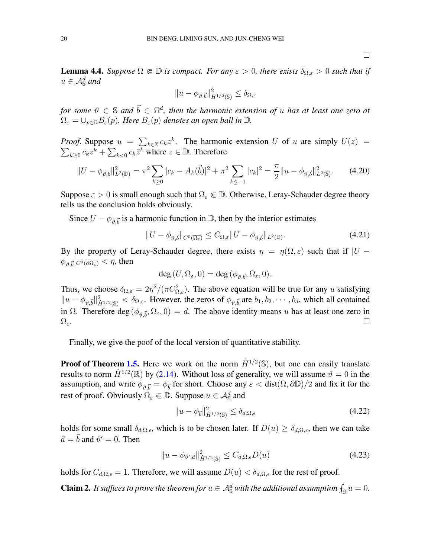$\Box$ 

<span id="page-19-0"></span>**Lemma 4.4.** *Suppose*  $\Omega \in \mathbb{D}$  *is compact. For any*  $\varepsilon > 0$ *, there exists*  $\delta_{\Omega, \varepsilon} > 0$  *such that if*  $u \in \mathcal{A}^d_{\mathbb{S}}$  and

$$
||u - \phi_{\vartheta, \vec{b}}||_{\dot{H}^{1/2}(\mathbb{S})}^2 \le \delta_{\Omega, \epsilon}
$$

 $f$ or some  $\vartheta \, \in \, \mathbb{S}$  and  $\vec{b} \, \in \, \Omega^d$ , then the harmonic extension of  $u$  has at least one zero at  $\Omega_{\varepsilon} = \cup_{p \in \Omega} B_{\varepsilon}(p)$ *. Here*  $B_{\varepsilon}(p)$  *denotes an open ball in*  $\mathbb{D}$ *.* 

*Proof.* Suppose  $u = \sum_{k \in \mathbb{Z}} c_k z^k$  $\sum$ . The harmonic extension U of u are simply  $U(z)$  =  $k \geq 0$   $c_k z^k + \sum_{k \leq 0} c_k \overline{z^k}$  where  $z \in \mathbb{D}$ . Therefore

$$
||U - \phi_{\vartheta, \vec{b}}||_{L^{2}(\mathbb{D})}^{2} = \pi^{2} \sum_{k \ge 0} |c_{k} - A_{k}(\vec{b})|^{2} + \pi^{2} \sum_{k \le -1} |c_{k}|^{2} = \frac{\pi}{2} ||u - \phi_{\vartheta, \vec{b}}||_{L^{2}(\mathbb{S})}^{2}.
$$
 (4.20)

Suppose  $\varepsilon > 0$  is small enough such that  $\Omega_{\varepsilon} \Subset \mathbb{D}$ . Otherwise, Leray-Schauder degree theory tells us the conclusion holds obviously.

Since  $U - \phi_{\vartheta, \vec{b}}$  is a harmonic function in  $\mathbb{D}$ , then by the interior estimates

$$
||U - \phi_{\vartheta, \vec{b}}||_{C^0(\overline{\Omega_{\varepsilon}})} \leq C_{\Omega, \varepsilon} ||U - \phi_{\vartheta, \vec{b}}||_{L^2(\mathbb{D})}.
$$
\n(4.21)

By the property of Leray-Schauder degree, there exists  $\eta = \eta(\Omega, \varepsilon)$  such that if  $|U - \varepsilon|$  $\phi_{\vartheta, \vec{b}}|_{C^0(\partial \Omega_\varepsilon)} < \eta,$  then

$$
\deg(U, \Omega_{\varepsilon}, 0) = \deg(\phi_{\vartheta, \vec{b}}, \Omega_{\varepsilon}, 0).
$$

Thus, we choose  $\delta_{\Omega,\varepsilon} = 2\eta^2/(\pi C_{\Omega,\varepsilon}^2)$ . The above equation will be true for any u satisfying  $||u - \phi_{\vartheta, \vec{b}}||_{\dot{H}^{1/2}(\mathbb{S})}^2 < \delta_{\Omega, \varepsilon}$ . However, the zeros of  $\phi_{\vartheta, \vec{b}}$  are  $b_1, b_2, \dots, b_d$ , which all contained in  $\Omega$ . Therefore deg  $(\phi_{\vartheta,\vec{b}}, \Omega_{\varepsilon}, 0) = d$ . The above identity means u has at least one zero in  $\Omega_{\varepsilon}$ .

Finally, we give the poof of the local version of quantitative stability.

**Proof of Theorem [1.5.](#page-3-1)** Here we work on the norm  $\dot{H}^{1/2}(\mathbb{S})$ , but one can easily translate results to norm  $\dot{H}^{1/2}(\mathbb{R})$  by [\(2.14\)](#page-7-0). Without loss of generality, we will assume  $\vartheta = 0$  in the assumption, and write  $\phi_{\vartheta,\vec{b}} = \phi_{\vec{b}}$  for short. Choose any  $\varepsilon <$  dist $(\Omega, \partial \mathbb{D})/2$  and fix it for the rest of proof. Obviously  $\Omega_{\varepsilon} \Subset \mathbb{D}$ . Suppose  $u \in \mathcal{A}_{\mathbb{S}}^d$  and

<span id="page-19-3"></span><span id="page-19-1"></span>
$$
||u - \phi_{\vec{b}}||_{\dot{H}^{1/2}(\mathbb{S})}^2 \le \delta_{d,\Omega,\epsilon}
$$
\n(4.22)

holds for some small  $\delta_{d,\Omega,\epsilon}$ , which is to be chosen later. If  $D(u) \geq \delta_{d,\Omega,\epsilon}$ , then we can take  $\vec{a} = \vec{b}$  and  $\vartheta' = 0$ . Then

$$
||u - \phi_{\vartheta', \vec{a}}||_{\dot{H}^{1/2}(\mathbb{S})}^2 \le C_{d, \Omega, \epsilon} D(u)
$$
\n(4.23)

holds for  $C_{d,\Omega,\epsilon} = 1$ . Therefore, we will assume  $D(u) < \delta_{d,\Omega,\epsilon}$  for the rest of proof.

<span id="page-19-2"></span>**Claim 2.** It suffices to prove the theorem for  $u \in A^d_{\mathbb{S}}$  with the additional assumption  $f_{\mathbb{S}} u = 0$ .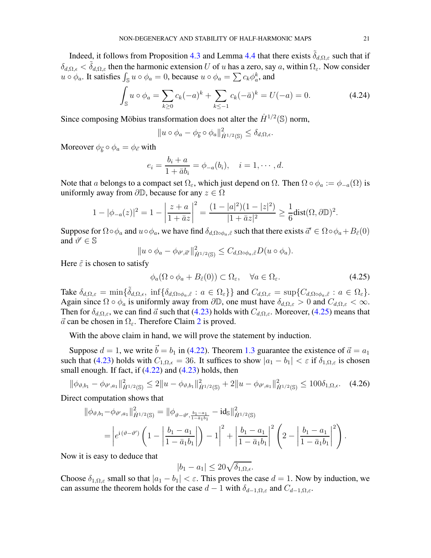Indeed, it follows from Proposition [4.3](#page-17-2) and Lemma [4.4](#page-19-0) that there exists  $\delta_{d,\Omega,\varepsilon}$  such that if  $\delta_{d,\Omega,\epsilon} < \tilde{\delta}_{d,\Omega,\epsilon}$  then the harmonic extension U of u has a zero, say a, within  $\Omega_{\epsilon}$ . Now consider  $u \circ \phi_a$ . It satisfies  $\int_{\mathbb{S}} u \circ \phi_a = 0$ , because  $u \circ \phi_a = \sum c_k \phi_a^k$ , and

$$
\int_{\mathbb{S}} u \circ \phi_a = \sum_{k \ge 0} c_k (-a)^k + \sum_{k \le -1} c_k (-\bar{a})^k = U(-a) = 0.
$$
 (4.24)

Since composing Möbius transformation does not alter the  $\dot{H}^{1/2}(\mathbb{S})$  norm,

$$
||u \circ \phi_a - \phi_{\vec{b}} \circ \phi_a||_{\dot{H}^{1/2}(\mathbb{S})}^2 \le \delta_{d,\Omega,\epsilon}.
$$

Moreover  $\phi_{\vec{b}} \circ \phi_a = \phi_{\vec{e}}$  with

$$
e_i = \frac{b_i + a}{1 + \bar{a}b_i} = \phi_{-a}(b_i), \quad i = 1, \cdots, d.
$$

Note that a belongs to a compact set  $\Omega_{\varepsilon}$ , which just depend on  $\Omega$ . Then  $\Omega \circ \phi_a := \phi_{-a}(\Omega)$  is uniformly away from  $\partial \mathbb{D}$ , because for any  $z \in \Omega$ 

$$
1 - |\phi_{-a}(z)|^2 = 1 - \left|\frac{z+a}{1+\bar{a}z}\right|^2 = \frac{(1-|a|^2)(1-|z|^2)}{|1+\bar{a}z|^2} \ge \frac{1}{6}\text{dist}(\Omega,\partial\mathbb{D})^2.
$$

Suppose for  $\Omega \circ \phi_a$  and  $u \circ \phi_a$ , we have find  $\delta_{d,\Omega \circ \phi_a, \tilde{\varepsilon}}$  such that there exists  $\vec{a}' \in \Omega \circ \phi_a + B_{\tilde{\varepsilon}}(0)$ and  $\vartheta' \in \mathbb{S}$ 

$$
||u \circ \phi_a - \phi_{\vartheta', \vec{a}'}||_{\dot{H}^{1/2}(\mathbb{S})}^2 \leq C_{d, \Omega \circ \phi_a, \vec{\varepsilon}} D(u \circ \phi_a).
$$

Here  $\tilde{\varepsilon}$  is chosen to satisfy

<span id="page-20-0"></span>
$$
\phi_a(\Omega \circ \phi_a + B_{\tilde{\varepsilon}}(0)) \subset \Omega_{\varepsilon}, \quad \forall a \in \Omega_{\varepsilon}.\tag{4.25}
$$

Take  $\delta_{d,\Omega,\varepsilon} = \min\{\tilde{\delta}_{d,\Omega,\varepsilon}, \inf\{\delta_{d,\Omega\circ\phi_a,\tilde{\varepsilon}} : a \in \Omega_{\varepsilon}\}\}\$  and  $C_{d,\Omega,\varepsilon} = \sup\{C_{d,\Omega\circ\phi_a,\tilde{\varepsilon}} : a \in \Omega_{\varepsilon}\}.$ Again since  $\Omega \circ \phi_a$  is uniformly away from  $\partial \mathbb{D}$ , one must have  $\delta_{d,\Omega,\varepsilon} > 0$  and  $C_{d,\Omega,\varepsilon} < \infty$ . Then for  $\delta_{d,\Omega,\varepsilon}$ , we can find  $\vec{a}$  such that [\(4.23\)](#page-19-1) holds with  $C_{d,\Omega,\varepsilon}$ . Moreover, [\(4.25\)](#page-20-0) means that  $\vec{a}$  can be chosen in  $\Omega_{\varepsilon}$ . Therefore Claim [2](#page-19-2) is proved.

With the above claim in hand, we will prove the statement by induction.

Suppose  $d = 1$ , we write  $\vec{b} = b_1$  in [\(4.22\)](#page-19-3). Theorem [1.3](#page-3-2) guarantee the existence of  $\vec{a} = a_1$ such that [\(4.23\)](#page-19-1) holds with  $C_{1,\Omega,\epsilon} = 36$ . It suffices to show  $|a_1 - b_1| < \epsilon$  if  $\delta_{1,\Omega,\epsilon}$  is chosen small enough. If fact, if  $(4.22)$  and  $(4.23)$  holds, then

$$
\|\phi_{\vartheta,b_1} - \phi_{\vartheta',a_1}\|_{\dot{H}^{1/2}(\mathbb{S})}^2 \le 2\|u - \phi_{\vartheta,b_1}\|_{\dot{H}^{1/2}(\mathbb{S})}^2 + 2\|u - \phi_{\vartheta',a_1}\|_{\dot{H}^{1/2}(\mathbb{S})}^2 \le 100\delta_{1,\Omega,\epsilon}.
$$
 (4.26)

Direct computation shows that

$$
\|\phi_{\vartheta,b_1} - \phi_{\vartheta',a_1}\|_{\dot{H}^{1/2}(\mathbb{S})}^2 = \|\phi_{\vartheta-\vartheta',\frac{b_1-a_1}{1-\bar{a}_1b_1}} - \mathrm{id}_{\mathbb{S}}\|_{\dot{H}^{1/2}(\mathbb{S})}^2
$$
  
= 
$$
\left| e^{i(\vartheta-\vartheta')} \left(1 - \left| \frac{b_1-a_1}{1-\bar{a}_1b_1} \right| \right) - 1 \right|^2 + \left| \frac{b_1-a_1}{1-\bar{a}_1b_1} \right|^2 \left(2 - \left| \frac{b_1-a_1}{1-\bar{a}_1b_1} \right|^2 \right).
$$

Now it is easy to deduce that

$$
|b_1 - a_1| \le 20\sqrt{\delta_{1,\Omega,\epsilon}}.
$$

Choose  $\delta_{1,\Omega,\varepsilon}$  small so that  $|a_1 - b_1| < \varepsilon$ . This proves the case  $d = 1$ . Now by induction, we can assume the theorem holds for the case  $d-1$  with  $\delta_{d-1,\Omega,\varepsilon}$  and  $C_{d-1,\Omega,\varepsilon}$ .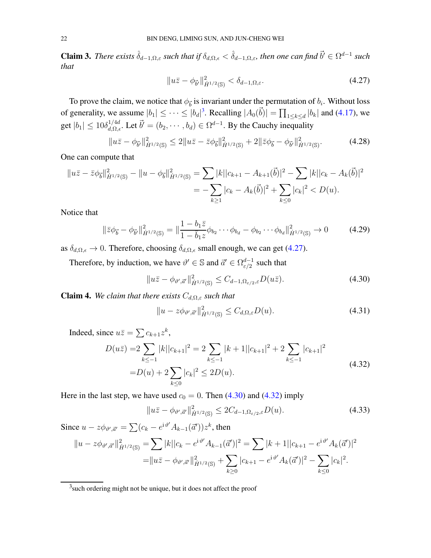**Claim 3.** *There exists*  $\hat{\delta}_{d-1,\Omega,\varepsilon}$  *such that if*  $\delta_{d,\Omega,\varepsilon} < \hat{\delta}_{d-1,\Omega,\varepsilon}$ *, then one can find*  $\vec{b}' \in \Omega^{d-1}$  *such that*

<span id="page-21-1"></span>
$$
||u\bar{z} - \phi_{\vec{b}'}||_{\dot{H}^{1/2}(\mathbb{S})}^2 < \delta_{d-1,\Omega,\varepsilon}.
$$
\n(4.27)

To prove the claim, we notice that  $\phi_{\vec{b}}$  is invariant under the permutation of  $b_i$ . Without loss of generality, we assume  $|b_1| \leq \cdots \leq |b_d|^3$  $|b_1| \leq \cdots \leq |b_d|^3$ . Recalling  $|A_0(\vec{b})| = \prod_{1 \leq k \leq d} |b_k|$  and [\(4.17\)](#page-18-2), we get  $|b_1| \le 10 \delta_{d,\Omega,\epsilon}^{1/4d}$ . Let  $\vec{b}' = (b_2, \cdots, b_d) \in \Omega^{d-1}$ . By the Cauchy inequality

$$
||u\bar{z} - \phi_{\vec{b}'}||_{\dot{H}^{1/2}(\mathbb{S})}^2 \le 2||u\bar{z} - \bar{z}\phi_{\vec{b}}||_{\dot{H}^{1/2}(\mathbb{S})}^2 + 2||\bar{z}\phi_{\vec{b}} - \phi_{\vec{b}'}||_{\dot{H}^{1/2}(\mathbb{S})}^2.
$$
 (4.28)

One can compute that

$$
||u\overline{z} - \overline{z}\phi_{\vec{b}}||_{\dot{H}^{1/2}(\mathbb{S})}^2 - ||u - \phi_{\vec{b}}||_{\dot{H}^{1/2}(\mathbb{S})}^2 = \sum |k||c_{k+1} - A_{k+1}(\vec{b})|^2 - \sum |k||c_k - A_k(\vec{b})|^2
$$
  
= 
$$
-\sum_{k\geq 1} |c_k - A_k(\vec{b})|^2 + \sum_{k\geq 0} |c_k|^2 < D(u).
$$

Notice that

$$
\|\bar{z}\phi_{\vec{b}} - \phi_{\vec{b}'}\|_{\dot{H}^{1/2}(\mathbb{S})}^2 = \|\frac{1 - b_1\bar{z}}{1 - \bar{b}_1 z}\phi_{b_2}\cdots\phi_{b_d} - \phi_{b_2}\cdots\phi_{b_d}\|_{\dot{H}^{1/2}(\mathbb{S})}^2 \to 0
$$
 (4.29)

as  $\delta_{d,\Omega,\epsilon} \to 0$ . Therefore, choosing  $\delta_{d,\Omega,\epsilon}$  small enough, we can get [\(4.27\)](#page-21-1).

Therefore, by induction, we have  $\vartheta' \in \mathbb{S}$  and  $\vec{a}' \in \Omega^{d-1}_{\varepsilon/2}$  $_{\varepsilon/2}^{d-1}$  such that

$$
||u\overline{z} - \phi_{\vartheta', \overline{a}'}||_{\dot{H}^{1/2}(\mathbb{S})}^2 \le C_{d-1, \Omega_{\varepsilon/2}, \varepsilon} D(u\overline{z}). \tag{4.30}
$$

<span id="page-21-6"></span>**Claim 4.** We claim that there exists  $C_{d,\Omega,\varepsilon}$  such that

<span id="page-21-5"></span><span id="page-21-3"></span><span id="page-21-2"></span>
$$
||u - z\phi_{\vartheta',\vec{a}'}||_{\dot{H}^{1/2}(\mathbb{S})}^2 \le C_{d,\Omega,\varepsilon} D(u). \tag{4.31}
$$

Indeed, since  $u\overline{z} = \sum c_{k+1}z^k$ ,

$$
D(u\bar{z}) = 2 \sum_{k \le -1} |k||c_{k+1}|^2 = 2 \sum_{k \le -1} |k+1||c_{k+1}|^2 + 2 \sum_{k \le -1} |c_{k+1}|^2
$$
  
=  $D(u) + 2 \sum_{k \le 0} |c_k|^2 \le 2D(u).$  (4.32)

Here in the last step, we have used  $c_0 = 0$ . Then [\(4.30\)](#page-21-2) and [\(4.32\)](#page-21-3) imply

<span id="page-21-4"></span>
$$
||u\overline{z} - \phi_{\vartheta', \overline{a}'}||_{\dot{H}^{1/2}(\mathbb{S})}^2 \le 2C_{d-1, \Omega_{\varepsilon/2}, \varepsilon} D(u). \tag{4.33}
$$

Since  $u - z\phi_{\vartheta', \vec{\alpha}'} = \sum (c_k - e^{i\vartheta'} A_{k-1}(\vec{\alpha}')) z^k$ , then

$$
||u - z\phi_{\vartheta',\vec{a}'}||_{\dot{H}^{1/2}(\mathbb{S})}^{2} = \sum |k||c_{k} - e^{i\vartheta'}A_{k-1}(\vec{a}')|^{2} = \sum |k+1||c_{k+1} - e^{i\vartheta'}A_{k}(\vec{a}')|^{2}
$$
  
= 
$$
||u\bar{z} - \phi_{\vartheta',\vec{a}'}||_{\dot{H}^{1/2}(\mathbb{S})}^{2} + \sum_{k\geq 0} |c_{k+1} - e^{i\vartheta'}A_{k}(\vec{a}')|^{2} - \sum_{k\leq 0} |c_{k}|^{2}.
$$

<span id="page-21-0"></span> $3$ such ordering might not be unique, but it does not affect the proof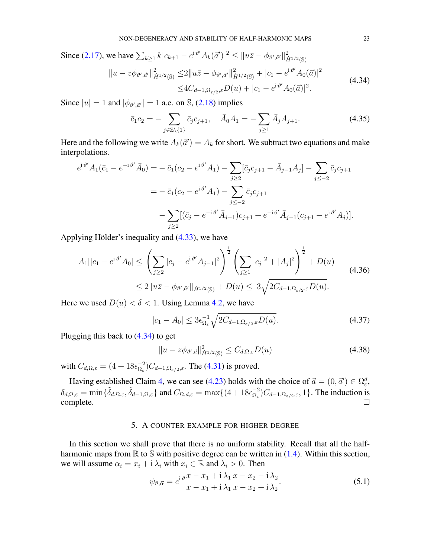Since (2.17), we have 
$$
\sum_{k\geq 1} k|c_{k+1} - e^{i\vartheta'} A_k(\vec{a}')|^2 \leq ||u\bar{z} - \phi_{\vartheta', \vec{a}'}||_{\dot{H}^{1/2}(\mathbb{S})}^2
$$
  
\n
$$
||u - z\phi_{\vartheta', \vec{a}'}||_{\dot{H}^{1/2}(\mathbb{S})}^2 \leq 2||u\bar{z} - \phi_{\vartheta', \vec{a}'}||_{\dot{H}^{1/2}(\mathbb{S})}^2 + |c_1 - e^{i\vartheta'} A_0(\vec{a})|^2
$$
\n
$$
\leq 4C_{d-1, \Omega_{\varepsilon/2}, \varepsilon} D(u) + |c_1 - e^{i\vartheta'} A_0(\vec{a})|^2.
$$
\n(4.34)

Since  $|u| = 1$  and  $|\phi_{\vartheta', \vec{\alpha}'}| = 1$  a.e. on S, [\(2.18\)](#page-7-4) implies

<span id="page-22-1"></span>
$$
\bar{c}_1 c_2 = -\sum_{j \in \mathbb{Z} \setminus \{1\}} \bar{c}_j c_{j+1}, \quad \bar{A}_0 A_1 = -\sum_{j \ge 1} \bar{A}_j A_{j+1}.
$$
 (4.35)

Here and the following we write  $A_k(\vec{a}') = A_k$  for short. We subtract two equations and make interpolations.

$$
e^{i\vartheta'}A_1(\bar{c}_1 - e^{-i\vartheta'}\bar{A}_0) = -\bar{c}_1(c_2 - e^{i\vartheta'}A_1) - \sum_{j\geq 2} [\bar{c}_j c_{j+1} - \bar{A}_{j-1}A_j] - \sum_{j\leq -2} \bar{c}_j c_{j+1}
$$
  

$$
= -\bar{c}_1(c_2 - e^{i\vartheta'}A_1) - \sum_{j\leq -2} \bar{c}_j c_{j+1}
$$
  

$$
- \sum_{j\geq 2} [(\bar{c}_j - e^{-i\vartheta'}\bar{A}_{j-1})c_{j+1} + e^{-i\vartheta'}\bar{A}_{j-1}(c_{j+1} - e^{i\vartheta'}A_j)].
$$

Applying Hölder's inequality and  $(4.33)$ , we have

$$
|A_1||c_1 - e^{i\vartheta'}A_0| \le \left(\sum_{j\ge 2} |c_j - e^{i\vartheta'}A_{j-1}|^2\right)^{\frac{1}{2}} \left(\sum_{j\ge 1} |c_j|^2 + |A_j|^2\right)^{\frac{1}{2}} + D(u)
$$
  

$$
\le 2||u\bar{z} - \phi_{\vartheta',\vec{a}'}||_{\dot{H}^{1/2}(\mathbb{S})} + D(u) \le 3\sqrt{2C_{d-1,\Omega_{\varepsilon/2},\varepsilon}D(u)}.
$$
 (4.36)

Here we used  $D(u) < \delta < 1$ . Using Lemma [4.2,](#page-17-1) we have

$$
|c_1 - A_0| \le 3\epsilon_{\Omega_\varepsilon}^{-1} \sqrt{2C_{d-1,\Omega_{\varepsilon/2},\varepsilon} D(u)}.\tag{4.37}
$$

Plugging this back to [\(4.34\)](#page-22-1) to get

$$
||u - z\phi_{\vartheta', \vec{a}}||_{\dot{H}^{1/2}(\mathbb{S})}^2 \le C_{d,\Omega, \varepsilon} D(u)
$$
\n(4.38)

with  $C_{d,\Omega,\varepsilon} = (4 + 18\epsilon_{\Omega_{\varepsilon}}^{-2})$  $\overline{\Omega}_{\varepsilon}^{2}$ ) $C_{d-1,\Omega_{\varepsilon/2},\varepsilon}$ . The [\(4.31\)](#page-21-5) is proved.

<span id="page-22-0"></span>Having established Claim [4,](#page-21-6) we can see [\(4.23\)](#page-19-1) holds with the choice of  $\vec{a} = (0, \vec{a}') \in \Omega_{\epsilon}^d$ ,  $\delta_{d,\Omega,\varepsilon} = \min\{\tilde{\delta}_{d,\Omega,\varepsilon},\hat{\delta}_{d-1,\Omega,\varepsilon}\}\$  and  $C_{\Omega,d,\varepsilon} = \max\{(4+18\epsilon_{\Omega,\varepsilon}^{-2})\}$  $\binom{-2}{\Omega_{\varepsilon}}$  $C_{d-1,\Omega_{\varepsilon/2},\varepsilon}$ , 1}. The induction is  $\Box$ complete.  $\Box$ 

### 5. A COUNTER EXAMPLE FOR HIGHER DEGREE

In this section we shall prove that there is no uniform stability. Recall that all the halfharmonic maps from  $\mathbb R$  to  $\mathbb S$  with positive degree can be written in [\(1.4\)](#page-1-4). Within this section, we will assume  $\alpha_i = x_i + i \lambda_i$  with  $x_i \in \mathbb{R}$  and  $\lambda_i > 0$ . Then

$$
\psi_{\vartheta,\vec{\alpha}} = e^{\mathrm{i}\,\vartheta}\frac{x - x_1 + \mathrm{i}\,\lambda_1}{x - x_1 + \mathrm{i}\,\lambda_1}\frac{x - x_2 - \mathrm{i}\,\lambda_2}{x - x_2 + \mathrm{i}\,\lambda_2}.\tag{5.1}
$$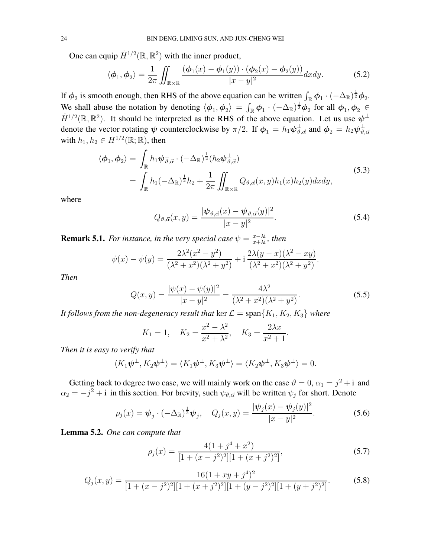One can equip  $\dot{H}^{1/2}(\mathbb{R}, \mathbb{R}^2)$  with the inner product,

$$
\langle \phi_1, \phi_2 \rangle = \frac{1}{2\pi} \iint_{\mathbb{R} \times \mathbb{R}} \frac{(\phi_1(x) - \phi_1(y)) \cdot (\phi_2(x) - \phi_2(y))}{|x - y|^2} dx dy.
$$
 (5.2)

If  $\phi_2$  is smooth enough, then RHS of the above equation can be written  $\int_{\mathbb{R}} \phi_1 \cdot (-\Delta_{\mathbb{R}})^{\frac{1}{2}} \phi_2$ . We shall abuse the notation by denoting  $\langle \phi_1, \phi_2 \rangle = \int_{\mathbb{R}} \phi_1 \cdot (-\Delta_{\mathbb{R}})^{\frac{1}{2}} \phi_2$  for all  $\phi_1, \phi_2 \in$  $\dot{H}^{1/2}(\mathbb{R}, \mathbb{R}^2)$ . It should be interpreted as the RHS of the above equation. Let us use  $\psi^{\perp}$ denote the vector rotating  $\psi$  counterclockwise by  $\pi/2$ . If  $\phi_1 = h_1 \psi_{\vartheta, \vec{\alpha}}^{\perp}$  and  $\phi_2 = h_2 \psi_{\vartheta, \vec{\alpha}}^{\perp}$  $\vartheta,\vec{\alpha}$ with  $h_1, h_2 \in H^{1/2}(\mathbb{R}; \mathbb{R})$ , then

$$
\langle \phi_1, \phi_2 \rangle = \int_{\mathbb{R}} h_1 \psi_{\vartheta, \vec{\alpha}}^{\perp} \cdot (-\Delta_{\mathbb{R}})^{\frac{1}{2}} (h_2 \psi_{\vartheta, \vec{\alpha}}^{\perp})
$$
  
= 
$$
\int_{\mathbb{R}} h_1 (-\Delta_{\mathbb{R}})^{\frac{1}{2}} h_2 + \frac{1}{2\pi} \iint_{\mathbb{R} \times \mathbb{R}} Q_{\vartheta, \vec{\alpha}}(x, y) h_1(x) h_2(y) dx dy,
$$
 (5.3)

where

$$
Q_{\vartheta,\vec{\alpha}}(x,y) = \frac{|\psi_{\vartheta,\vec{\alpha}}(x) - \psi_{\vartheta,\vec{\alpha}}(y)|^2}{|x - y|^2}.
$$
\n(5.4)

<span id="page-23-2"></span>.

<span id="page-23-1"></span><span id="page-23-0"></span>.

**Remark 5.1.** *For instance, in the very special case*  $\psi = \frac{x - \lambda i}{x + \lambda i}$  $\frac{x-\lambda_1}{x+\lambda_1}$ , then

$$
\psi(x) - \psi(y) = \frac{2\lambda^2(x^2 - y^2)}{(\lambda^2 + x^2)(\lambda^2 + y^2)} + i\frac{2\lambda(y - x)(\lambda^2 - xy)}{(\lambda^2 + x^2)(\lambda^2 + y^2)}
$$

*Then*

$$
Q(x,y) = \frac{|\psi(x) - \psi(y)|^2}{|x - y|^2} = \frac{4\lambda^2}{(\lambda^2 + x^2)(\lambda^2 + y^2)}.
$$
\n(5.5)

*It follows from the non-degeneracy result that* ker  $\mathcal{L} = \text{span}\{K_1, K_2, K_3\}$  *where* 

$$
K_1 = 1
$$
,  $K_2 = \frac{x^2 - \lambda^2}{x^2 + \lambda^2}$ ,  $K_3 = \frac{2\lambda x}{x^2 + 1}$ 

*Then it is easy to verify that*

$$
\langle K_1 \boldsymbol{\psi}^\perp, K_2 \boldsymbol{\psi}^\perp \rangle = \langle K_1 \boldsymbol{\psi}^\perp, K_3 \boldsymbol{\psi}^\perp \rangle = \langle K_2 \boldsymbol{\psi}^\perp, K_3 \boldsymbol{\psi}^\perp \rangle = 0.
$$

Getting back to degree two case, we will mainly work on the case  $\vartheta = 0$ ,  $\alpha_1 = j^2 + i$  and  $\alpha_2 = -j^2 + i$  in this section. For brevity, such  $\psi_{\vartheta, \vec{\alpha}}$  will be written  $\psi_j$  for short. Denote

$$
\rho_j(x) = \psi_j \cdot (-\Delta_{\mathbb{R}})^{\frac{1}{2}} \psi_j, \quad Q_j(x, y) = \frac{|\psi_j(x) - \psi_j(y)|^2}{|x - y|^2}.
$$
 (5.6)

Lemma 5.2. *One can compute that*

$$
\rho_j(x) = \frac{4(1+j^4+x^2)}{[1+(x-j^2)^2][1+(x+j^2)^2]},
$$
\n(5.7)

$$
Q_j(x,y) = \frac{16(1+xy+j^4)^2}{[1+(x-j^2)^2][1+(x+j^2)^2][1+(y-j^2)^2][1+(y+j^2)^2]}.
$$
(5.8)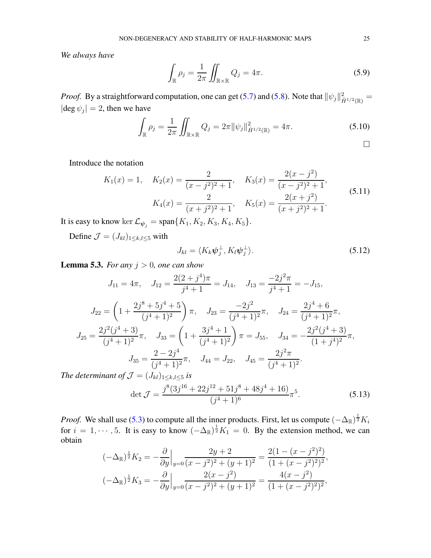*We always have*

$$
\int_{\mathbb{R}} \rho_j = \frac{1}{2\pi} \iint_{\mathbb{R} \times \mathbb{R}} Q_j = 4\pi.
$$
\n(5.9)

*Proof.* By a straightforward computation, one can get [\(5.7\)](#page-23-0) and [\(5.8\)](#page-23-1). Note that  $\|\psi_j\|_{\dot{H}^{1/2}(\mathbb{R})}^2 =$  $|\deg \psi_j| = 2$ , then we have

$$
\int_{\mathbb{R}} \rho_j = \frac{1}{2\pi} \iint_{\mathbb{R} \times \mathbb{R}} Q_j = 2\pi ||\psi_j||_{\dot{H}^{1/2}(\mathbb{R})}^2 = 4\pi.
$$
\n(5.10)

Introduce the notation

$$
K_1(x) = 1, \quad K_2(x) = \frac{2}{(x - j^2)^2 + 1}, \quad K_3(x) = \frac{2(x - j^2)}{(x - j^2)^2 + 1},
$$

$$
K_4(x) = \frac{2}{(x + j^2)^2 + 1}, \quad K_5(x) = \frac{2(x + j^2)}{(x + j^2)^2 + 1}.
$$
(5.11)

It is easy to know ker  $\mathcal{L}_{\psi_j} = \text{span}\{K_1, K_2, K_3, K_4, K_5\}.$ 

Define  $\mathcal{J} = (J_{kl})_{1 \leq k,l \leq 5}$  with

<span id="page-24-0"></span>
$$
J_{kl} = \langle K_k \psi_j^{\perp}, K_l \psi_j^{\perp} \rangle. \tag{5.12}
$$

<span id="page-24-1"></span>**Lemma 5.3.** *For any*  $j > 0$ *, one can show* 

$$
J_{11} = 4\pi, \quad J_{12} = \frac{2(2+j^4)\pi}{j^4+1} = J_{14}, \quad J_{13} = \frac{-2j^2\pi}{j^4+1} = -J_{15},
$$

$$
J_{22} = \left(1 + \frac{2j^8 + 5j^4 + 5}{(j^4+1)^2}\right)\pi, \quad J_{23} = \frac{-2j^2}{(j^4+1)^2}\pi, \quad J_{24} = \frac{2j^4 + 6}{(j^4+1)^2}\pi,
$$

$$
J_{25} = \frac{2j^2(j^4+3)}{(j^4+1)^2}\pi, \quad J_{33} = \left(1 + \frac{3j^4+1}{(j^4+1)^2}\right)\pi = J_{55}, \quad J_{34} = -\frac{2j^2(j^4+3)}{(1+j^4)^2}\pi,
$$

$$
J_{35} = \frac{2-2j^4}{(j^4+1)^2}\pi, \quad J_{44} = J_{22}, \quad J_{45} = \frac{2j^2\pi}{(j^4+1)^2}.
$$
*determinant of*  $\mathcal{T} = (J_{13}) \leq b \leq j$  is

*The determinant of*  $\mathcal{J} = (J_{kl})_{1 \leq k,l \leq 5}$  *is* 

$$
\det \mathcal{J} = \frac{j^8 (3j^{16} + 22j^{12} + 51j^8 + 48j^4 + 16)}{(j^4 + 1)^6} \pi^5.
$$
 (5.13)

*Proof.* We shall use [\(5.3\)](#page-23-2) to compute all the inner products. First, let us compute  $(-\Delta_{\mathbb{R}})^{\frac{1}{2}}K_i$ for  $i = 1, \dots, 5$ . It is easy to know  $(-\Delta_{\mathbb{R}})^{\frac{1}{2}}K_1 = 0$ . By the extension method, we can obtain

$$
(-\Delta_{\mathbb{R}})^{\frac{1}{2}}K_2 = -\frac{\partial}{\partial y}\Big|_{y=0} \frac{2y+2}{(x-j^2)^2 + (y+1)^2} = \frac{2(1-(x-j^2)^2)}{(1+(x-j^2)^2)^2},
$$
  

$$
(-\Delta_{\mathbb{R}})^{\frac{1}{2}}K_3 = -\frac{\partial}{\partial y}\Big|_{y=0} \frac{2(x-j^2)}{(x-j^2)^2 + (y+1)^2} = \frac{4(x-j^2)}{(1+(x-j^2)^2)^2},
$$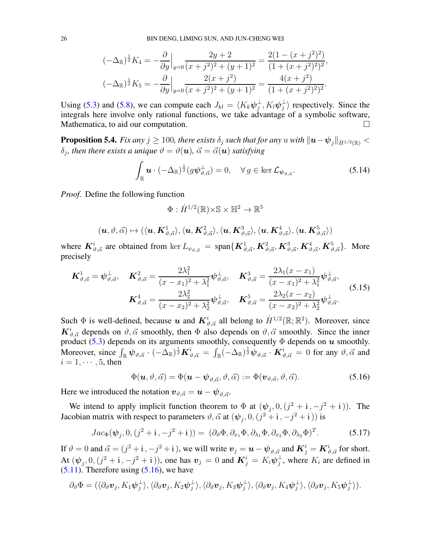$$
(-\Delta_{\mathbb{R}})^{\frac{1}{2}} K_4 = -\frac{\partial}{\partial y}\Big|_{y=0} \frac{2y+2}{(x+j^2)^2 + (y+1)^2} = \frac{2(1-(x+j^2)^2)}{(1+(x+j^2)^2)^2},
$$
  

$$
(-\Delta_{\mathbb{R}})^{\frac{1}{2}} K_5 = -\frac{\partial}{\partial y}\Big|_{y=0} \frac{2(x+j^2)}{(x+j^2)^2 + (y+1)^2} = \frac{4(x+j^2)}{(1+(x+j^2)^2)^2}.
$$

Using [\(5.3\)](#page-23-2) and [\(5.8\)](#page-23-1), we can compute each  $J_{kl} = \langle K_k \psi_j^{\perp} \rangle$  $_{j}^{\perp},K_{l}\bm{\psi}_{j}^{\perp}$  $\frac{1}{j}$  respectively. Since the integrals here involve only rational functions, we take advantage of a symbolic software, Mathematica, to aid our computation.

<span id="page-25-1"></span>**Proposition 5.4.** *Fix any*  $j \ge 100$ *, there exists*  $\delta_j$  *such that for any* u *with*  $\|\boldsymbol{u}-\boldsymbol{\psi}_j\|_{\dot{H}^{1/2}(\mathbb{R})}$  <  $\delta_j$ , then there exists a unique  $\vartheta=\vartheta(\boldsymbol{u}),$   $\vec{\alpha}=\vec{\alpha}(\boldsymbol{u})$  satisfying

$$
\int_{\mathbb{R}} \mathbf{u} \cdot (-\Delta_{\mathbb{R}})^{\frac{1}{2}} (g \boldsymbol{\psi}_{\vartheta, \vec{\alpha}}^{\perp}) = 0, \quad \forall g \in \ker \mathcal{L}_{\boldsymbol{\psi}_{\vartheta, \vec{\alpha}}}.
$$
\n(5.14)

*Proof.* Define the following function

$$
\Phi: \dot{H}^{1/2}(\mathbb{R}) \times \mathbb{S} \times \mathbb{H}^2 \to \mathbb{R}^5
$$

$$
(\boldsymbol{u},\vartheta,\vec{\alpha})\mapsto(\langle \boldsymbol{u}, \boldsymbol{K}^1_{\vartheta,\vec{\alpha}}\rangle,\langle \boldsymbol{u}, \boldsymbol{K}^2_{\vartheta,\vec{\alpha}}\rangle,\langle \boldsymbol{u}, \boldsymbol{K}^3_{\vartheta,\vec{\alpha}}\rangle,\langle \boldsymbol{u}, \boldsymbol{K}^4_{\vartheta,\vec{\alpha}}\rangle,\langle \boldsymbol{u}, \boldsymbol{K}^5_{\vartheta,\vec{\alpha}}\rangle)
$$

where  $K^i_{\vartheta, \vec{\alpha}}$  are obtained from ker  $L_{\psi_{\vartheta, \vec{\alpha}}} = \text{span}\{K^1_{\vartheta, \vec{\alpha}}, K^2_{\vartheta, \vec{\alpha}}, K^3_{\vartheta, \vec{\alpha}}, K^4_{\vartheta, \vec{\alpha}}, K^5_{\vartheta, \vec{\alpha}}\}$ . More precisely

$$
\mathbf{K}_{\vartheta,\vec{\alpha}}^1 = \boldsymbol{\psi}_{\vartheta,\vec{\alpha}}^\perp, \quad \mathbf{K}_{\vartheta,\vec{\alpha}}^2 = \frac{2\lambda_1^2}{(x - x_1)^2 + \lambda_1^2} \boldsymbol{\psi}_{\vartheta,\vec{\alpha}}^\perp, \quad \mathbf{K}_{\vartheta,\vec{\alpha}}^3 = \frac{2\lambda_1(x - x_1)}{(x - x_1)^2 + \lambda_1^2} \boldsymbol{\psi}_{\vartheta,\vec{\alpha}}^\perp, \n\mathbf{K}_{\vartheta,\vec{\alpha}}^4 = \frac{2\lambda_2^2}{(x - x_2)^2 + \lambda_2^2} \boldsymbol{\psi}_{\vartheta,\vec{\alpha}}^\perp, \quad \mathbf{K}_{\vartheta,\vec{\alpha}}^5 = \frac{2\lambda_2(x - x_2)}{(x - x_2)^2 + \lambda_2^2} \boldsymbol{\psi}_{\vartheta,\vec{\alpha}}^\perp.
$$
\n(5.15)

Such  $\Phi$  is well-defined, because u and  $K^i_{\vartheta,\vec{\alpha}}$  all belong to  $\dot{H}^{1/2}(\mathbb{R};\mathbb{R}^2)$ . Moreover, since  $\mathbf{K}_{\vartheta,\vec{\alpha}}^i$  depends on  $\vartheta,\vec{\alpha}$  smoothly, then  $\Phi$  also depends on  $\vartheta,\vec{\alpha}$  smoothly. Since the inner product [\(5.3\)](#page-23-2) depends on its arguments smoothly, consequently  $\Phi$  depends on u smoothly. Moreover, since  $\int_{\mathbb{R}} \psi_{\vartheta, \vec{\alpha}} \cdot (-\Delta_{\mathbb{R}})^{\frac{1}{2}} K_{\vartheta, \vec{\alpha}}^i = \int_{\mathbb{R}} (-\Delta_{\mathbb{R}})^{\frac{1}{2}} \psi_{\vartheta, \vec{\alpha}} \cdot K_{\vartheta, \vec{\alpha}}^i = 0$  for any  $\vartheta, \vec{\alpha}$  and  $i = 1, \cdots, 5$ , then

<span id="page-25-0"></span>
$$
\Phi(\mathbf{u},\vartheta,\vec{\alpha})=\Phi(\mathbf{u}-\boldsymbol{\psi}_{\vartheta,\vec{\alpha}},\vartheta,\vec{\alpha}):=\Phi(\mathbf{v}_{\vartheta,\vec{\alpha}},\vartheta,\vec{\alpha}).
$$
\n(5.16)

Here we introduced the notation  $v_{\vartheta,\vec{\alpha}} = u - \psi_{\vartheta,\vec{\alpha}}$ .

We intend to apply implicit function theorem to  $\Phi$  at  $(\psi_j, 0, (j^2 + i, -j^2 + i))$ . The Jacobian matrix with respect to parameters  $\vartheta$ ,  $\vec{\alpha}$  at  $(\psi_j, 0, (j^2 + i, -j^2 + i))$  is

$$
Jac_{\Phi}(\boldsymbol{\psi}_j, 0, (j^2 + \mathbf{i}, -j^2 + \mathbf{i})) = (\partial_{\vartheta} \Phi, \partial_{x_1} \Phi, \partial_{\lambda_1} \Phi, \partial_{x_2} \Phi, \partial_{\lambda_2} \Phi)^T.
$$
(5.17)

If  $\vartheta = 0$  and  $\vec{\alpha} = (j^2 + i, -j^2 + i)$ , we will write  $\mathbf{v}_j = \mathbf{u} - \psi_{\vartheta, \vec{\alpha}}$  and  $\mathbf{K}^i_j = \mathbf{K}^i_{\vartheta, \vec{\alpha}}$  for short. At  $(\psi_j, 0, (j^2 + i, -j^2 + i))$ , one has  $v_j = 0$  and  $K_j^i = K_i \psi_j^{\perp}$  $j^{\perp}$ , where  $K_i$  are defined in  $(5.11)$ . Therefore using  $(5.16)$ , we have

$$
\partial_{\theta} \Phi = (\langle \partial_{\theta} \mathbf{v}_j, K_1 \mathbf{\psi}_j^{\perp} \rangle, \langle \partial_{\theta} \mathbf{v}_j, K_2 \mathbf{\psi}_j^{\perp} \rangle, \langle \partial_{\theta} \mathbf{v}_j, K_3 \mathbf{\psi}_j^{\perp} \rangle, \langle \partial_{\theta} \mathbf{v}_j, K_4 \mathbf{\psi}_j^{\perp} \rangle, \langle \partial_{\theta} \mathbf{v}_j, K_5 \mathbf{\psi}_j^{\perp} \rangle).
$$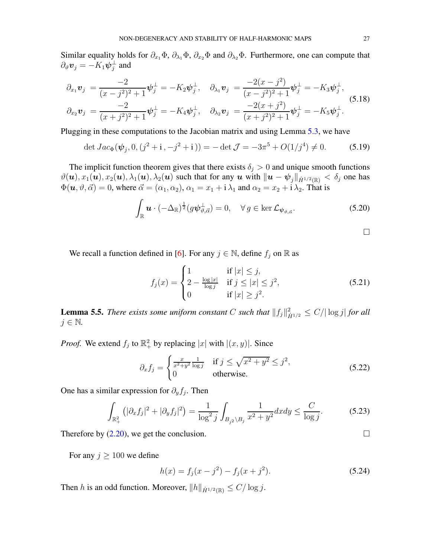Similar equality holds for  $\partial_{x_1}\Phi$ ,  $\partial_{\lambda_1}\Phi$ ,  $\partial_{x_2}\Phi$  and  $\partial_{\lambda_2}\Phi$ . Furthermore, one can compute that  $\partial_\vartheta\boldsymbol{v}_j=-K_1\boldsymbol{\psi}_j^\perp$  $_j^{\perp}$  and

$$
\partial_{x_1} \mathbf{v}_j = \frac{-2}{(x-j^2)^2 + 1} \boldsymbol{\psi}_j^{\perp} = -K_2 \boldsymbol{\psi}_j^{\perp}, \quad \partial_{\lambda_1} \mathbf{v}_j = \frac{-2(x-j^2)}{(x-j^2)^2 + 1} \boldsymbol{\psi}_j^{\perp} = -K_3 \boldsymbol{\psi}_j^{\perp}, \n\partial_{x_2} \mathbf{v}_j = \frac{-2}{(x+j^2)^2 + 1} \boldsymbol{\psi}_j^{\perp} = -K_4 \boldsymbol{\psi}_j^{\perp}, \quad \partial_{\lambda_2} \mathbf{v}_j = \frac{-2(x+j^2)}{(x+j^2)^2 + 1} \boldsymbol{\psi}_j^{\perp} = -K_5 \boldsymbol{\psi}_j^{\perp}.
$$
\n(5.18)

Plugging in these computations to the Jacobian matrix and using Lemma [5.3,](#page-24-1) we have

$$
\det Jac_{\Phi}(\psi_j, 0, (j^2 + i, -j^2 + i)) = -\det \mathcal{J} = -3\pi^5 + O(1/j^4) \neq 0. \tag{5.19}
$$

The implicit function theorem gives that there exists  $\delta_j > 0$  and unique smooth functions  $\vartheta(\mathbf{u}), x_1(\mathbf{u}), x_2(\mathbf{u}), \lambda_1(\mathbf{u}), \lambda_2(\mathbf{u})$  such that for any  $\mathbf{u}$  with  $\|\mathbf{u} - \psi_j\|_{\dot{H}^{1/2}(\mathbb{R})} < \delta_j$  one has  $\Phi(\mathbf{u}, \vartheta, \vec{\alpha}) = 0$ , where  $\vec{\alpha} = (\alpha_1, \alpha_2), \alpha_1 = x_1 + i \lambda_1$  and  $\alpha_2 = x_2 + i \lambda_2$ . That is

$$
\int_{\mathbb{R}} \mathbf{u} \cdot (-\Delta_{\mathbb{R}})^{\frac{1}{2}} (g \boldsymbol{\psi}_{\vartheta, \vec{\alpha}}^{\perp}) = 0, \quad \forall g \in \ker \mathcal{L}_{\boldsymbol{\psi}_{\vartheta, \vec{\alpha}}}.
$$
\n(5.20)

<span id="page-26-0"></span>

We recall a function defined in [\[6](#page-33-16)]. For any  $j \in \mathbb{N}$ , define  $f_j$  on  $\mathbb R$  as

$$
f_j(x) = \begin{cases} 1 & \text{if } |x| \le j, \\ 2 - \frac{\log|x|}{\log j} & \text{if } j \le |x| \le j^2, \\ 0 & \text{if } |x| \ge j^2. \end{cases}
$$
(5.21)

<span id="page-26-1"></span>**Lemma 5.5.** *There exists some uniform constant* C such that  $||f_j||_{\dot{H}^{1/2}}^2 \leq C/|\log j|$  for all  $j \in \mathbb{N}$ .

*Proof.* We extend  $f_j$  to  $\mathbb{R}^2_+$  by replacing |x| with  $|(x, y)|$ . Since

$$
\partial_x f_j = \begin{cases} \frac{x}{x^2 + y^2} \frac{1}{\log j} & \text{if } j \le \sqrt{x^2 + y^2} \le j^2, \\ 0 & \text{otherwise.} \end{cases} \tag{5.22}
$$

One has a similar expression for  $\partial_y f_j$ . Then

$$
\int_{\mathbb{R}^2_+} \left( |\partial_x f_j|^2 + |\partial_y f_j|^2 \right) = \frac{1}{\log^2 j} \int_{B_{j^2} \setminus B_j} \frac{1}{x^2 + y^2} dx dy \le \frac{C}{\log j}.
$$
 (5.23)

Therefore by  $(2.20)$ , we get the conclusion.

For any  $j \ge 100$  we define

$$
h(x) = f_j(x - j^2) - f_j(x + j^2).
$$
 (5.24)

Then h is an odd function. Moreover,  $||h||_{\dot{H}^{1/2}(\mathbb{R})} \le C/\log j$ .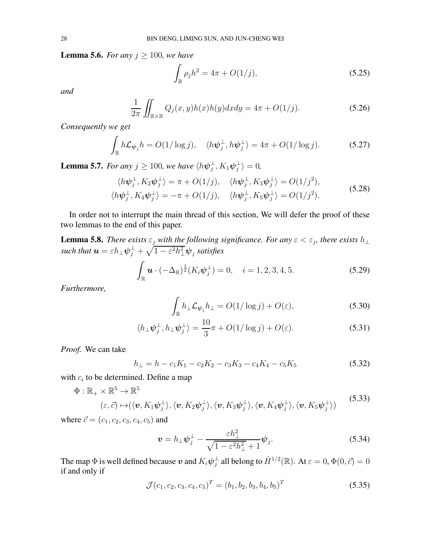<span id="page-27-3"></span>**Lemma 5.6.** *For any*  $j \ge 100$ *, we have* 

<span id="page-27-7"></span><span id="page-27-6"></span><span id="page-27-1"></span>
$$
\int_{\mathbb{R}} \rho_j h^2 = 4\pi + O(1/j),
$$
\n(5.25)

*and*

$$
\frac{1}{2\pi} \iint_{\mathbb{R} \times \mathbb{R}} Q_j(x, y) h(x) h(y) dx dy = 4\pi + O(1/j). \tag{5.26}
$$

*Consequently we get*

$$
\int_{\mathbb{R}} h \mathcal{L}_{\psi_j} h = O(1/\log j), \quad \langle h \psi_j^{\perp}, h \psi_j^{\perp} \rangle = 4\pi + O(1/\log j). \tag{5.27}
$$

<span id="page-27-0"></span>**Lemma 5.7.** *For any*  $j \ge 100$ *, we have*  $\langle h\psi_j^{\perp} \rangle$  $_j^\perp,K_1\bm{\psi}_j^\perp$  $\frac{1}{j}\rangle = 0,$ 

$$
\langle h\psi_j^{\perp}, K_2\psi_j^{\perp} \rangle = \pi + O(1/j), \quad \langle h\psi_j^{\perp}, K_3\psi_j^{\perp} \rangle = O(1/j^2),
$$
  

$$
\langle h\psi_j^{\perp}, K_4\psi_j^{\perp} \rangle = -\pi + O(1/j), \quad \langle h\psi_j^{\perp}, K_5\psi_j^{\perp} \rangle = O(1/j^2).
$$
 (5.28)

In order not to interrupt the main thread of this section, We will defer the proof of these two lemmas to the end of this paper.

<span id="page-27-4"></span>**Lemma 5.8.** *There exists*  $\varepsilon_j$  *with the following significance. For any*  $\varepsilon < \varepsilon_j$ *, there exists*  $h_{\perp}$ such that  $\bm{u}=\varepsilon h_{\perp}\bm{\psi}_j^{\perp}+\sqrt{1-\varepsilon^2 h_{\perp}^2}\bm{\psi}_j$  satisfies

$$
\int_{\mathbb{R}} \mathbf{u} \cdot (-\Delta_{\mathbb{R}})^{\frac{1}{2}} (K_i \psi_j^{\perp}) = 0, \quad i = 1, 2, 3, 4, 5.
$$
\n(5.29)

*Furthermore,*

<span id="page-27-5"></span><span id="page-27-2"></span>
$$
\int_{\mathbb{R}} h_{\perp} \mathcal{L}_{\psi_j} h_{\perp} = O(1/\log j) + O(\varepsilon),\tag{5.30}
$$

$$
\langle h_{\perp}\psi_j^{\perp}, h_{\perp}\psi_j^{\perp}\rangle = \frac{10}{3}\pi + O(1/\log j) + O(\varepsilon). \tag{5.31}
$$

*Proof.* We can take

$$
h_{\perp} = h - c_1 K_1 - c_2 K_2 - c_3 K_3 - c_4 K_4 - c_5 K_5 \tag{5.32}
$$

with  $c_i$  to be determined. Define a map

$$
\Phi: \mathbb{R}_+ \times \mathbb{R}^5 \to \mathbb{R}^5
$$
\n
$$
(\varepsilon, \vec{c}) \mapsto (\langle \mathbf{v}, K_1 \psi_j^{\perp} \rangle, \langle \mathbf{v}, K_2 \psi_j^{\perp} \rangle, \langle \mathbf{v}, K_3 \psi_j^{\perp} \rangle, \langle \mathbf{v}, K_4 \psi_j^{\perp} \rangle, \langle \mathbf{v}, K_5 \psi_j^{\perp} \rangle)
$$
\n(5.33)

where  $\vec{c} = (c_1, c_2, c_3, c_4, c_5)$  and

$$
\boldsymbol{v} = h_{\perp} \boldsymbol{\psi}_j^{\perp} - \frac{\varepsilon h_{\perp}^2}{\sqrt{1 - \varepsilon^2 h_{\perp}^2 + 1}} \boldsymbol{\psi}_j. \tag{5.34}
$$

The map  $\Phi$  is well defined because  $\bm{v}$  and  $K_i\bm{\psi}_j^{\perp}$  $j^{\perp}$  all belong to  $\dot{H}^{1/2}(\mathbb{R}).$  At  $\varepsilon = 0, \Phi(0, \vec{c}) = 0$ if and only if

$$
\mathcal{J}(c_1, c_2, c_3, c_4, c_5)^T = (b_1, b_2, b_3, b_4, b_5)^T
$$
\n(5.35)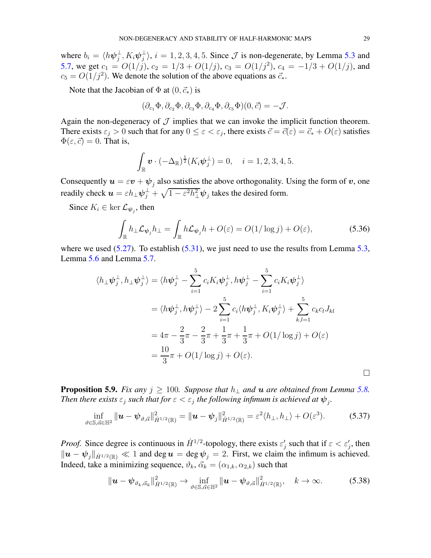where  $b_i = \langle h\psi_i^{\perp} \rangle$  $_{j}^{\perp},K_{i}\bm{\psi}_{j}^{\perp}$  $j_i^{\perp}$ ,  $i = 1, 2, 3, 4, 5$ . Since  $J$  is non-degenerate, by Lemma [5.3](#page-24-1) and [5.7,](#page-27-0) we get  $c_1 = O(1/j)$ ,  $c_2 = 1/3 + O(1/j)$ ,  $c_3 = O(1/j^2)$ ,  $c_4 = -1/3 + O(1/j)$ , and  $c_5 = O(1/j^2)$ . We denote the solution of the above equations as  $\vec{c}_*.$ 

Note that the Jacobian of  $\Phi$  at  $(0, \vec{c}_*)$  is

$$
(\partial_{c_1}\Phi, \partial_{c_2}\Phi, \partial_{c_3}\Phi, \partial_{c_4}\Phi, \partial_{c_5}\Phi)(0, \vec{c}) = -\mathcal{J}.
$$

Again the non-degeneracy of  $J$  implies that we can invoke the implicit function theorem. There exists  $\varepsilon_j > 0$  such that for any  $0 \le \varepsilon < \varepsilon_j$ , there exists  $\vec{c} = \vec{c}(\varepsilon) = \vec{c}_* + O(\varepsilon)$  satisfies  $\Phi(\varepsilon,\vec{c}) = 0$ . That is,

$$
\int_{\mathbb{R}} \mathbf{v} \cdot (-\Delta_{\mathbb{R}})^{\frac{1}{2}} (K_i \psi_j^{\perp}) = 0, \quad i = 1, 2, 3, 4, 5.
$$

Consequently  $u = \varepsilon v + \psi_j$  also satisfies the above orthogonality. Using the form of  $v$ , one readily check  $u = \varepsilon h_{\perp} \psi_j^{\perp} + \sqrt{1 - \varepsilon^2 h_{\perp}^2} \psi_j$  takes the desired form.

Since  $K_i \in \ker \mathcal{L}_{\psi_j}$ , then

$$
\int_{\mathbb{R}} h_{\perp} \mathcal{L}_{\psi_j} h_{\perp} = \int_{\mathbb{R}} h \mathcal{L}_{\psi_j} h + O(\varepsilon) = O(1/\log j) + O(\varepsilon), \tag{5.36}
$$

where we used  $(5.27)$ . To establish  $(5.31)$ , we just need to use the results from Lemma [5.3,](#page-24-1) Lemma [5.6](#page-27-3) and Lemma [5.7.](#page-27-0)

$$
\langle h_{\perp}\psi_{j}^{\perp}, h_{\perp}\psi_{j}^{\perp}\rangle = \langle h\psi_{j}^{\perp} - \sum_{i=1}^{5} c_{i}K_{i}\psi_{j}^{\perp}, h\psi_{j}^{\perp} - \sum_{i=1}^{5} c_{i}K_{i}\psi_{j}^{\perp}\rangle
$$
  

$$
= \langle h\psi_{j}^{\perp}, h\psi_{j}^{\perp}\rangle - 2\sum_{i=1}^{5} c_{i} \langle h\psi_{j}^{\perp}, K_{i}\psi_{j}^{\perp}\rangle + \sum_{k,l=1}^{5} c_{k}c_{l}J_{kl}
$$
  

$$
= 4\pi - \frac{2}{3}\pi - \frac{2}{3}\pi + \frac{1}{3}\pi + \frac{1}{3}\pi + O(1/\log j) + O(\varepsilon)
$$
  

$$
= \frac{10}{3}\pi + O(1/\log j) + O(\varepsilon).
$$

<span id="page-28-0"></span>**Proposition 5.9.** *Fix any*  $j \ge 100$ *. Suppose that*  $h_{\perp}$  *and*  $u$  *are obtained from Lemma [5.8.](#page-27-4) Then there exists*  $\varepsilon_j$  such that for  $\varepsilon < \varepsilon_j$  the following infimum is achieved at  $\psi_j$ .

$$
\inf_{\vartheta \in \mathbb{S}, \vec{\alpha} \in \mathbb{H}^2} \|\boldsymbol{u} - \boldsymbol{\psi}_{\vartheta, \vec{\alpha}}\|_{\dot{H}^{1/2}(\mathbb{R})}^2 = \|\boldsymbol{u} - \boldsymbol{\psi}_j\|_{\dot{H}^{1/2}(\mathbb{R})}^2 = \varepsilon^2 \langle h_\perp, h_\perp \rangle + O(\varepsilon^3). \tag{5.37}
$$

*Proof.* Since degree is continuous in  $\dot{H}^{1/2}$ -topology, there exists  $\varepsilon'_j$  such that if  $\varepsilon < \varepsilon'_j$ , then  $\|u - \psi_j\|_{\dot{H}^{1/2}(\mathbb{R})} \ll 1$  and deg  $u = \deg \psi_j = 2$ . First, we claim the infimum is achieved. Indeed, take a minimizing sequence,  $\vartheta_k$ ,  $\vec{\alpha}_k = (\alpha_{1,k}, \alpha_{2,k})$  such that

$$
\|\boldsymbol{u}-\boldsymbol{\psi}_{\vartheta_k,\vec{\alpha}_k}\|^2_{\dot{H}^{1/2}(\mathbb{R})} \to \inf_{\vartheta \in \mathbb{S},\vec{\alpha} \in \mathbb{H}^2} \|\boldsymbol{u}-\boldsymbol{\psi}_{\vartheta,\vec{\alpha}}\|^2_{\dot{H}^{1/2}(\mathbb{R})}, \quad k \to \infty.
$$
 (5.38)

 $\Box$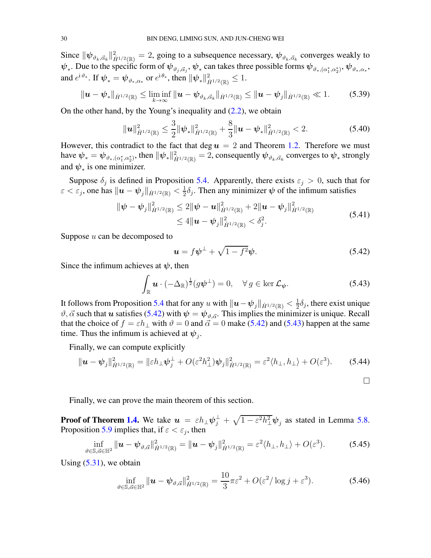Since  $\|\psi_{\vartheta_k,\vec{\alpha}_k}\|^2_{\dot{H}^{1/2}(\mathbb{R})}=2$ , going to a subsequence necessary,  $\psi_{\vartheta_k,\vec{\alpha}_k}$  converges weakly to  $\psi_*$ . Due to the specific form of  $\psi_{\vartheta_j,\vec{\alpha}_j},\psi_*$  can takes three possible forms  $\psi_{\vartheta_*,(\alpha_1^*,\alpha_2^*)},\psi_{\vartheta_*,\alpha_*},$ and  $e^{i\vartheta_*}.$  If  $\boldsymbol{\psi}_* = \boldsymbol{\psi}_{\vartheta_*,\alpha_*}$  or  $e^{i\theta_*},$  then  $\|\boldsymbol{\psi}_*\|_{\dot{H}^{1/2}(\mathbb{R})}^2 \leq 1.$ 

$$
\|\bm{u}-\bm{\psi}_{*}\|_{\dot{H}^{1/2}(\mathbb{R})}\leq \liminf_{k\to\infty} \|\bm{u}-\bm{\psi}_{\vartheta_{k},\vec{\alpha}_{k}}\|_{\dot{H}^{1/2}(\mathbb{R})}\leq \|\bm{u}-\bm{\psi}_{j}\|_{\dot{H}^{1/2}(\mathbb{R})}\ll 1.
$$
 (5.39)

On the other hand, by the Young's inequality and [\(2.2\)](#page-5-3), we obtain

$$
\|\mathbf{u}\|_{\dot{H}^{1/2}(\mathbb{R})}^2 \leq \frac{3}{2} \|\boldsymbol{\psi}_*\|_{\dot{H}^{1/2}(\mathbb{R})}^2 + \frac{8}{3} \|\mathbf{u} - \boldsymbol{\psi}_*\|_{\dot{H}^{1/2}(\mathbb{R})}^2 < 2.
$$
 (5.40)

However, this contradict to the fact that deg  $u = 2$  and Theorem [1.2.](#page-2-2) Therefore we must have  $\psi_*=\psi_{\vartheta_*,(\alpha_1^*,\alpha_2^*)},$  then  $\|\psi_*\|_{\dot H^{1/2}(\mathbb R)}^2=2,$  consequently  $\psi_{\vartheta_k,\vec{\alpha}_k}$  converges to  $\psi_*$  strongly and  $\psi_*$  is one minimizer.

Suppose  $\delta_j$  is defined in Proposition [5.4.](#page-25-1) Apparently, there exists  $\varepsilon_j > 0$ , such that for  $\varepsilon < \varepsilon_j,$  one has  $\|\boldsymbol{u}-\boldsymbol{\psi}_j\|_{\dot{H}^{1/2}(\mathbb{R})} < \frac{1}{2}$  $\frac{1}{2}\delta_j$ . Then any minimizer  $\psi$  of the infimum satisfies

$$
\|\boldsymbol{\psi} - \boldsymbol{\psi}_j\|_{\dot{H}^{1/2}(\mathbb{R})}^2 \le 2\|\boldsymbol{\psi} - \boldsymbol{u}\|_{\dot{H}^{1/2}(\mathbb{R})}^2 + 2\|\boldsymbol{u} - \boldsymbol{\psi}_j\|_{\dot{H}^{1/2}(\mathbb{R})}^2
$$
  
\$\le 4\|\boldsymbol{u} - \boldsymbol{\psi}\_j\|\_{\dot{H}^{1/2}(\mathbb{R})}^2 < \delta\_j^2\$. (5.41)

Suppose  $u$  can be decomposed to

<span id="page-29-1"></span><span id="page-29-0"></span>
$$
\mathbf{u} = f\psi^{\perp} + \sqrt{1 - f^2}\psi. \tag{5.42}
$$

Since the infimum achieves at  $\psi$ , then

$$
\int_{\mathbb{R}} \mathbf{u} \cdot (-\Delta_{\mathbb{R}})^{\frac{1}{2}} (g\psi^{\perp}) = 0, \quad \forall g \in \ker \mathcal{L}_{\psi}.
$$
\n(5.43)

It follows from Proposition [5.4](#page-25-1) that for any  $u$  with  $\| \bm{u} - \bm{\psi}_j \|_{\dot{H}^{1/2}(\mathbb{R})} < \frac{1}{2}$  $\frac{1}{2}\delta_j$ , there exist unique  $\vartheta$ ,  $\vec{\alpha}$  such that u satisfies [\(5.42\)](#page-29-0) with  $\psi = \psi_{\vartheta, \vec{\alpha}}$ . This implies the minimizer is unique. Recall that the choice of  $f = \varepsilon h_{\perp}$  with  $\vartheta = 0$  and  $\vec{\alpha} = 0$  make [\(5.42\)](#page-29-0) and [\(5.43\)](#page-29-1) happen at the same time. Thus the infimum is achieved at  $\psi_j$ .

Finally, we can compute explicitly

$$
\|\mathbf{u} - \boldsymbol{\psi}_j\|_{\dot{H}^{1/2}(\mathbb{R})}^2 = \|\varepsilon h_\perp \boldsymbol{\psi}_j^\perp + O(\varepsilon^2 h_\perp^2) \boldsymbol{\psi}_j\|_{\dot{H}^{1/2}(\mathbb{R})}^2 = \varepsilon^2 \langle h_\perp, h_\perp \rangle + O(\varepsilon^3). \tag{5.44}
$$

Finally, we can prove the main theorem of this section.

**Proof of Theorem [1.4.](#page-3-5)** We take  $u = \varepsilon h_{\perp} \psi_j^{\perp} + \sqrt{1 - \varepsilon^2 h_{\perp}^2} \psi_j$  as stated in Lemma [5.8.](#page-27-4) Proposition [5.9](#page-28-0) implies that, if  $\varepsilon < \varepsilon_j$ , then

$$
\inf_{\vartheta \in \mathbb{S}, \vec{\alpha} \in \mathbb{H}^2} \|\boldsymbol{u} - \boldsymbol{\psi}_{\vartheta, \vec{\alpha}}\|_{\dot{H}^{1/2}(\mathbb{R})}^2 = \|\boldsymbol{u} - \boldsymbol{\psi}_j\|_{\dot{H}^{1/2}(\mathbb{R})}^2 = \varepsilon^2 \langle h_\perp, h_\perp \rangle + O(\varepsilon^3). \tag{5.45}
$$

<span id="page-29-2"></span> $\overline{10}$ 

Using  $(5.31)$ , we obtain

$$
\inf_{\vartheta \in \mathbb{S}, \vec{\alpha} \in \mathbb{H}^2} \|\boldsymbol{u} - \boldsymbol{\psi}_{\vartheta, \vec{\alpha}}\|_{\dot{H}^{1/2}(\mathbb{R})}^2 = \frac{10}{3}\pi\varepsilon^2 + O(\varepsilon^2/\log j + \varepsilon^3). \tag{5.46}
$$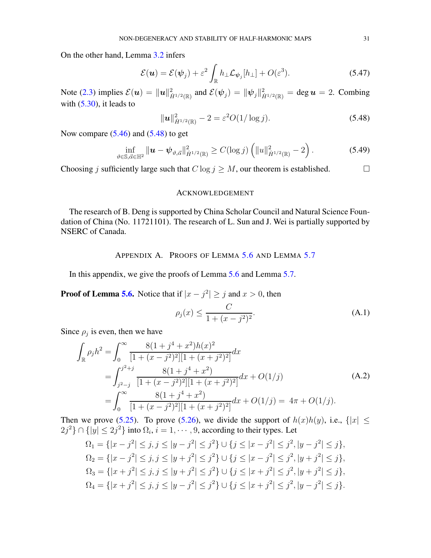On the other hand, Lemma [3.2](#page-10-3) infers

$$
\mathcal{E}(\boldsymbol{u}) = \mathcal{E}(\boldsymbol{\psi}_j) + \varepsilon^2 \int_{\mathbb{R}} h_{\perp} \mathcal{L}_{\boldsymbol{\psi}_j}[h_{\perp}] + O(\varepsilon^3). \tag{5.47}
$$

Note [\(2.3\)](#page-5-0) implies  $\mathcal{E}(\boldsymbol{u}) = ||\boldsymbol{u}||_{\dot{H}^{1/2}(\mathbb{R})}^2$  and  $\mathcal{E}(\boldsymbol{\psi}_j) = ||\boldsymbol{\psi}_j||_{\dot{H}^{1/2}(\mathbb{R})}^2 = \deg \boldsymbol{u} = 2$ . Combing with  $(5.30)$ , it leads to

<span id="page-30-0"></span>
$$
\|\mathbf{u}\|_{\dot{H}^{1/2}(\mathbb{R})}^2 - 2 = \varepsilon^2 O(1/\log j). \tag{5.48}
$$

Now compare  $(5.46)$  and  $(5.48)$  to get

$$
\inf_{\vartheta \in \mathbb{S}, \vec{\alpha} \in \mathbb{H}^2} \|\boldsymbol{u} - \boldsymbol{\psi}_{\vartheta, \vec{\alpha}}\|_{\dot{H}^{1/2}(\mathbb{R})}^2 \ge C(\log j) \left( \|u\|_{\dot{H}^{1/2}(\mathbb{R})}^2 - 2 \right). \tag{5.49}
$$

Choosing j sufficiently large such that  $C \log j \geq M$ , our theorem is established.

#### ACKNOWLEDGEMENT

The research of B. Deng is supported by China Scholar Council and Natural Science Foundation of China (No. 11721101). The research of L. Sun and J. Wei is partially supported by NSERC of Canada.

## APPENDIX A. PROOFS OF LEMMA [5.6](#page-27-3) AND LEMMA [5.7](#page-27-0)

In this appendix, we give the proofs of Lemma [5.6](#page-27-3) and Lemma [5.7.](#page-27-0)

**Proof of Lemma [5.6.](#page-27-3)** Notice that if  $|x - j^2| \ge j$  and  $x > 0$ , then

$$
\rho_j(x) \le \frac{C}{1 + (x - j^2)^2}.
$$
\n(A.1)

Since  $\rho_j$  is even, then we have

$$
\int_{\mathbb{R}} \rho_j h^2 = \int_0^\infty \frac{8(1+j^4+x^2)h(x)^2}{[1+(x-j^2)^2][1+(x+j^2)^2]} dx
$$
  
= 
$$
\int_{j^2-j}^{j^2+j} \frac{8(1+j^4+x^2)}{[1+(x-j^2)^2][1+(x+j^2)^2]} dx + O(1/j)
$$
  
= 
$$
\int_0^\infty \frac{8(1+j^4+x^2)}{[1+(x-j^2)^2][1+(x+j^2)^2]} dx + O(1/j) = 4\pi + O(1/j).
$$
 (A.2)

Then we prove [\(5.25\)](#page-27-6). To prove [\(5.26\)](#page-27-7), we divide the support of  $h(x)h(y)$ , i.e.,  $\{|x| \leq \frac{1}{2}$  $2j^2$ }  $\cap$  { $|y| \le 2j^2$ } into  $\Omega_i$ ,  $i = 1, \dots, 9$ , according to their types. Let

$$
\Omega_1 = \{|x - j^2| \le j, j \le |y - j^2| \le j^2\} \cup \{j \le |x - j^2| \le j^2, |y - j^2| \le j\},
$$
  
\n
$$
\Omega_2 = \{|x - j^2| \le j, j \le |y + j^2| \le j^2\} \cup \{j \le |x - j^2| \le j^2, |y + j^2| \le j\},
$$
  
\n
$$
\Omega_3 = \{|x + j^2| \le j, j \le |y + j^2| \le j^2\} \cup \{j \le |x + j^2| \le j^2, |y + j^2| \le j\},
$$
  
\n
$$
\Omega_4 = \{|x + j^2| \le j, j \le |y - j^2| \le j^2\} \cup \{j \le |x + j^2| \le j^2, |y - j^2| \le j\}.
$$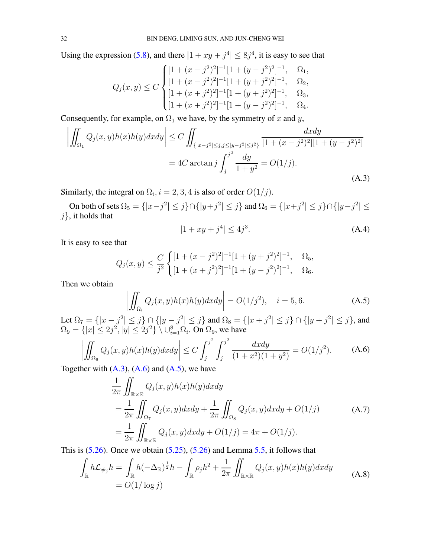Using the expression [\(5.8\)](#page-23-1), and there  $|1 + xy + j^4| \leq 8j^4$ , it is easy to see that

$$
Q_j(x,y) \le C \begin{cases} [1 + (x - j^2)^2]^{-1} [1 + (y - j^2)^2]^{-1}, & \Omega_1, \\ [1 + (x - j^2)^2]^{-1} [1 + (y + j^2)^2]^{-1}, & \Omega_2, \\ [1 + (x + j^2)^2]^{-1} [1 + (y + j^2)^2]^{-1}, & \Omega_3, \\ [1 + (x + j^2)^2]^{-1} [1 + (y - j^2)^2]^{-1}, & \Omega_4. \end{cases}
$$

Consequently, for example, on  $\Omega_1$  we have, by the symmetry of x and y,

$$
\left| \iint_{\Omega_1} Q_j(x, y) h(x) h(y) dx dy \right| \le C \iint_{\{|x - j^2| \le j, j \le |y - j^2| \le j^2\}} \frac{dx dy}{[1 + (x - j^2)^2][1 + (y - j^2)^2]} \n= 4C \arctan j \int_j^{j^2} \frac{dy}{1 + y^2} = O(1/j).
$$
\n(A.3)

Similarly, the integral on  $\Omega_i$ ,  $i = 2, 3, 4$  is also of order  $O(1/j)$ .

On both of sets  $\Omega_5 = \{ |x - j^2| \le j \} \cap \{ |y + j^2| \le j \}$  and  $\Omega_6 = \{ |x + j^2| \le j \} \cap \{ |y - j^2| \le j \}$  $j$ , it holds that

<span id="page-31-2"></span><span id="page-31-1"></span><span id="page-31-0"></span>
$$
|1 + xy + j^4| \le 4j^3. \tag{A.4}
$$

It is easy to see that

$$
Q_j(x,y) \le \frac{C}{j^2} \begin{cases} [1 + (x - j^2)^2]^{-1} [1 + (y + j^2)^2]^{-1}, & \Omega_5, \\ [1 + (x + j^2)^2]^{-1} [1 + (y - j^2)^2]^{-1}, & \Omega_6. \end{cases}
$$

Then we obtain

$$
\left| \iint_{\Omega_i} Q_j(x, y) h(x) h(y) dx dy \right| = O(1/j^2), \quad i = 5, 6.
$$
 (A.5)

Let  $\Omega_7 = \{ |x - j^2| \le j \} \cap \{ |y - j^2| \le j \}$  and  $\Omega_8 = \{ |x + j^2| \le j \} \cap \{ |y + j^2| \le j \}$ , and  $\Omega_9 = \{ |x| \leq 2j^2, |y| \leq 2j^2 \} \setminus \cup_{i=1}^8 \Omega_i$ . On  $\Omega_9$ , we have

$$
\left| \iint_{\Omega_9} Q_j(x, y) h(x) h(y) dx dy \right| \le C \int_j^{j^2} \int_j^{j^2} \frac{dx dy}{(1 + x^2)(1 + y^2)} = O(1/j^2). \tag{A.6}
$$

Together with  $(A.3)$ ,  $(A.6)$  and  $(A.5)$ , we have

$$
\frac{1}{2\pi} \iint_{\mathbb{R} \times \mathbb{R}} Q_j(x, y) h(x) h(y) dx dy \n= \frac{1}{2\pi} \iint_{\Omega_7} Q_j(x, y) dx dy + \frac{1}{2\pi} \iint_{\Omega_8} Q_j(x, y) dx dy + O(1/j) \n= \frac{1}{2\pi} \iint_{\mathbb{R} \times \mathbb{R}} Q_j(x, y) dx dy + O(1/j) = 4\pi + O(1/j).
$$
\n(A.7)

This is  $(5.26)$ . Once we obtain  $(5.25)$ ,  $(5.26)$  and Lemma [5.5,](#page-26-1) it follows that

$$
\int_{\mathbb{R}} h \mathcal{L}_{\psi_j} h = \int_{\mathbb{R}} h(-\Delta_{\mathbb{R}})^{\frac{1}{2}} h - \int_{\mathbb{R}} \rho_j h^2 + \frac{1}{2\pi} \iint_{\mathbb{R} \times \mathbb{R}} Q_j(x, y) h(x) h(y) dx dy
$$
\n
$$
= O(1/\log j)
$$
\n(A.8)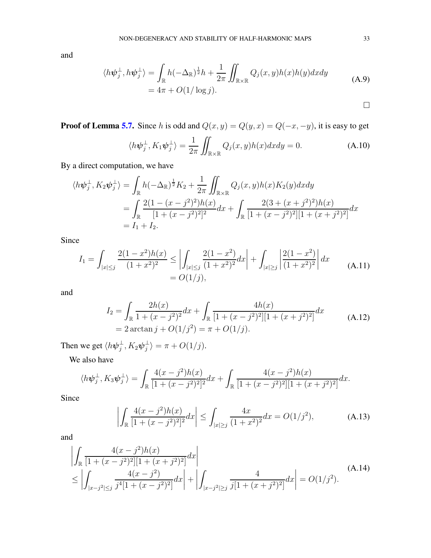and

$$
\langle h\psi_j^{\perp}, h\psi_j^{\perp} \rangle = \int_{\mathbb{R}} h(-\Delta_{\mathbb{R}})^{\frac{1}{2}}h + \frac{1}{2\pi} \iint_{\mathbb{R} \times \mathbb{R}} Q_j(x, y)h(x)h(y)dxdy
$$
  
=  $4\pi + O(1/\log j).$  (A.9)

**Proof of Lemma [5.7.](#page-27-0)** Since h is odd and  $Q(x, y) = Q(y, x) = Q(-x, -y)$ , it is easy to get

$$
\langle h\psi_j^\perp, K_1\psi_j^\perp \rangle = \frac{1}{2\pi} \iint_{\mathbb{R}\times\mathbb{R}} Q_j(x, y) h(x) dx dy = 0.
$$
 (A.10)

By a direct computation, we have

$$
\langle h\psi_j^{\perp}, K_2\psi_j^{\perp} \rangle = \int_{\mathbb{R}} h(-\Delta_{\mathbb{R}})^{\frac{1}{2}} K_2 + \frac{1}{2\pi} \iint_{\mathbb{R} \times \mathbb{R}} Q_j(x, y) h(x) K_2(y) dx dy
$$
  
= 
$$
\int_{\mathbb{R}} \frac{2(1 - (x - j^2)^2)h(x)}{[1 + (x - j^2)^2]^2} dx + \int_{\mathbb{R}} \frac{2(3 + (x + j^2)^2)h(x)}{[1 + (x - j^2)^2][1 + (x + j^2)^2]} dx
$$
  
=  $I_1 + I_2$ .

Since

$$
I_1 = \int_{|x| \le j} \frac{2(1-x^2)h(x)}{(1+x^2)^2} \le \left| \int_{|x| \le j} \frac{2(1-x^2)}{(1+x^2)^2} dx \right| + \int_{|x| \ge j} \left| \frac{2(1-x^2)}{(1+x^2)^2} \right| dx
$$
\n
$$
= O(1/j), \tag{A.11}
$$

and

$$
I_2 = \int_{\mathbb{R}} \frac{2h(x)}{1 + (x - j^2)^2} dx + \int_{\mathbb{R}} \frac{4h(x)}{[1 + (x - j^2)^2][1 + (x + j^2)^2]} dx
$$
  
= 2 \arctan j + O(1/j<sup>2</sup>) =  $\pi$  + O(1/j). (A.12)

Then we get  $\langle h\psi_i^{\perp} \rangle$  $_j^\perp,K_2\bm{\psi}_j^\perp$  $\frac{1}{j}\rangle = \pi + O(1/j).$ 

We also have

$$
\langle h\psi_j^{\perp}, K_3\psi_j^{\perp} \rangle = \int_{\mathbb{R}} \frac{4(x-j^2)h(x)}{[1+(x-j^2)^2]^2} dx + \int_{\mathbb{R}} \frac{4(x-j^2)h(x)}{[1+(x-j^2)^2][1+(x+j^2)^2]} dx.
$$

Since

$$
\left| \int_{\mathbb{R}} \frac{4(x - j^2)h(x)}{[1 + (x - j^2)^2]^2} dx \right| \le \int_{|x| \ge j} \frac{4x}{(1 + x^2)^2} dx = O(1/j^2), \tag{A.13}
$$

and

$$
\left| \int_{\mathbb{R}} \frac{4(x - j^2)h(x)}{[1 + (x - j^2)^2][1 + (x + j^2)^2]} dx \right|
$$
\n
$$
\leq \left| \int_{|x - j^2| \leq j} \frac{4(x - j^2)}{j^4 [1 + (x - j^2)^2]} dx \right| + \left| \int_{|x - j^2| \geq j} \frac{4}{j[1 + (x + j^2)^2]} dx \right| = O(1/j^2).
$$
\n(A.14)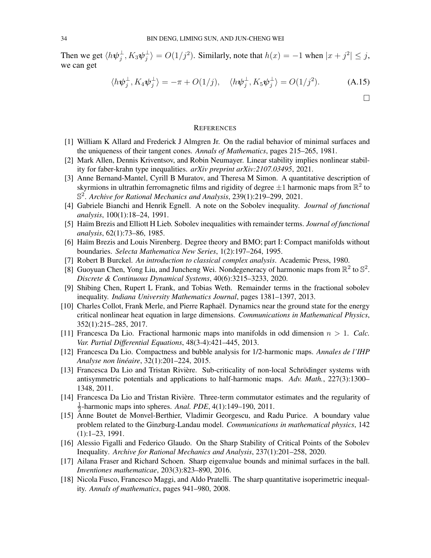Then we get  $\langle h\psi_i^{\perp} \rangle$  $_j^\perp,K_3\bm{\psi}_j^\perp$  $\ket{\psi} = O(1/j^2)$ . Similarly, note that  $h(x) = -1$  when  $|x + j^2| \leq j$ , we can get

$$
\langle h\psi_j^{\perp}, K_4\psi_j^{\perp} \rangle = -\pi + O(1/j), \quad \langle h\psi_j^{\perp}, K_5\psi_j^{\perp} \rangle = O(1/j^2). \tag{A.15}
$$

#### **REFERENCES**

- <span id="page-33-5"></span>[1] William K Allard and Frederick J Almgren Jr. On the radial behavior of minimal surfaces and the uniqueness of their tangent cones. *Annals of Mathematics*, pages 215–265, 1981.
- <span id="page-33-11"></span>[2] Mark Allen, Dennis Kriventsov, and Robin Neumayer. Linear stability implies nonlinear stability for faber-krahn type inequalities. *arXiv preprint arXiv:2107.03495*, 2021.
- <span id="page-33-12"></span>[3] Anne Bernand-Mantel, Cyrill B Muratov, and Theresa M Simon. A quantitative description of skyrmions in ultrathin ferromagnetic films and rigidity of degree  $\pm 1$  harmonic maps from  $\mathbb{R}^2$  to S 2 . *Archive for Rational Mechanics and Analysis*, 239(1):219–299, 2021.
- <span id="page-33-8"></span>[4] Gabriele Bianchi and Henrik Egnell. A note on the Sobolev inequality. *Journal of functional analysis*, 100(1):18–24, 1991.
- <span id="page-33-7"></span>[5] Haïm Brezis and Elliott H Lieb. Sobolev inequalities with remainder terms. *Journal of functional analysis*, 62(1):73–86, 1985.
- <span id="page-33-16"></span>[6] Haïm Brezis and Louis Nirenberg. Degree theory and BMO; part I: Compact manifolds without boundaries. *Selecta Mathematica New Series*, 1(2):197–264, 1995.
- <span id="page-33-17"></span>[7] Robert B Burckel. *An introduction to classical complex analysis*. Academic Press, 1980.
- <span id="page-33-6"></span>[8] Guoyuan Chen, Yong Liu, and Juncheng Wei. Nondegeneracy of harmonic maps from  $\mathbb{R}^2$  to  $\mathbb{S}^2$ . *Discrete & Continuous Dynamical Systems*, 40(6):3215–3233, 2020.
- <span id="page-33-13"></span>[9] Shibing Chen, Rupert L Frank, and Tobias Weth. Remainder terms in the fractional sobolev inequality. *Indiana University Mathematics Journal*, pages 1381–1397, 2013.
- <span id="page-33-14"></span>[10] Charles Collot, Frank Merle, and Pierre Raphaël. Dynamics near the ground state for the energy critical nonlinear heat equation in large dimensions. *Communications in Mathematical Physics*, 352(1):215–285, 2017.
- <span id="page-33-0"></span>[11] Francesca Da Lio. Fractional harmonic maps into manifolds in odd dimension n > 1. *Calc. Var. Partial Differential Equations*, 48(3-4):421–445, 2013.
- <span id="page-33-1"></span>[12] Francesca Da Lio. Compactness and bubble analysis for 1/2-harmonic maps. *Annales de l'IHP Analyse non lineaire ´* , 32(1):201–224, 2015.
- <span id="page-33-2"></span>[13] Francesca Da Lio and Tristan Rivière. Sub-criticality of non-local Schrödinger systems with antisymmetric potentials and applications to half-harmonic maps. *Adv. Math.*, 227(3):1300– 1348, 2011.
- <span id="page-33-3"></span>[14] Francesca Da Lio and Tristan Rivière. Three-term commutator estimates and the regularity of 1  $\frac{1}{2}$ -harmonic maps into spheres. *Anal. PDE*, 4(1):149–190, 2011.
- <span id="page-33-15"></span>[15] Anne Boutet de Monvel-Berthier, Vladimir Georgescu, and Radu Purice. A boundary value problem related to the Ginzburg-Landau model. *Communications in mathematical physics*, 142 (1):1–23, 1991.
- <span id="page-33-10"></span>[16] Alessio Figalli and Federico Glaudo. On the Sharp Stability of Critical Points of the Sobolev Inequality. *Archive for Rational Mechanics and Analysis*, 237(1):201–258, 2020.
- <span id="page-33-4"></span>[17] Ailana Fraser and Richard Schoen. Sharp eigenvalue bounds and minimal surfaces in the ball. *Inventiones mathematicae*, 203(3):823–890, 2016.
- <span id="page-33-9"></span>[18] Nicola Fusco, Francesco Maggi, and Aldo Pratelli. The sharp quantitative isoperimetric inequality. *Annals of mathematics*, pages 941–980, 2008.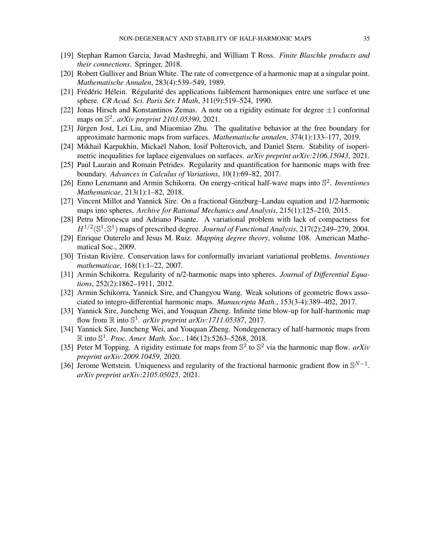- <span id="page-34-16"></span>[19] Stephan Ramon Garcia, Javad Mashreghi, and William T Ross. *Finite Blaschke products and their connections*. Springer, 2018.
- <span id="page-34-11"></span>[20] Robert Gulliver and Brian White. The rate of convergence of a harmonic map at a singular point. *Mathematische Annalen*, 283(4):539–549, 1989.
- <span id="page-34-0"></span>[21] Frédéric Hélein. Régularité des applications faiblement harmoniques entre une surface et une sphere. *CR Acad. Sci. Paris Sér. I Math*, 311(9):519-524, 1990.
- <span id="page-34-14"></span>[22] Jonas Hirsch and Konstantinos Zemas. A note on a rigidity estimate for degree  $\pm 1$  conformal maps on S 2 . *arXiv preprint 2103.05390*, 2021.
- <span id="page-34-5"></span>[23] Jürgen Jost, Lei Liu, and Miaomiao Zhu. The qualitative behavior at the free boundary for approximate harmonic maps from surfaces. *Mathematische annalen*, 374(1):133–177, 2019.
- <span id="page-34-13"></span>[24] Mikhail Karpukhin, Mickaël Nahon, Iosif Polterovich, and Daniel Stern. Stability of isoperimetric inequalities for laplace eigenvalues on surfaces. *arXiv preprint arXiv:2106.15043*, 2021.
- <span id="page-34-4"></span>[25] Paul Laurain and Romain Petrides. Regularity and quantification for harmonic maps with free boundary. *Advances in Calculus of Variations*, 10(1):69–82, 2017.
- <span id="page-34-10"></span>[26] Enno Lenzmann and Armin Schikorra. On energy-critical half-wave maps into S 2 . *Inventiones Mathematicae*, 213(1):1–82, 2018.
- <span id="page-34-2"></span>[27] Vincent Millot and Yannick Sire. On a fractional Ginzburg–Landau equation and 1/2-harmonic maps into spheres. *Archive for Rational Mechanics and Analysis*, 215(1):125–210, 2015.
- <span id="page-34-6"></span>[28] Petru Mironescu and Adriano Pisante. A variational problem with lack of compactness for  $H^{1/2}(\mathbb{S}^1;\mathbb{S}^1)$  maps of prescribed degree. *Journal of Functional Analysis*, 217(2):249–279, 2004.
- <span id="page-34-17"></span>[29] Enrique Outerelo and Jesus M. Ruiz. *Mapping degree theory*, volume 108. American Mathematical Soc., 2009.
- <span id="page-34-1"></span>[30] Tristan Rivière. Conservation laws for conformally invariant variational problems. *Inventiones mathematicae*, 168(1):1–22, 2007.
- <span id="page-34-3"></span>[31] Armin Schikorra. Regularity of n/2-harmonic maps into spheres. *Journal of Differential Equations*, 252(2):1862–1911, 2012.
- <span id="page-34-8"></span>[32] Armin Schikorra, Yannick Sire, and Changyou Wang. Weak solutions of geometric flows associated to integro-differential harmonic maps. *Manuscripta Math.*, 153(3-4):389–402, 2017.
- <span id="page-34-7"></span>[33] Yannick Sire, Juncheng Wei, and Youquan Zheng. Infinite time blow-up for half-harmonic map flow from  $\mathbb R$  into  $\mathbb S^1$ . *arXiv preprint arXiv:1711.05387*, 2017.
- <span id="page-34-12"></span>[34] Yannick Sire, Juncheng Wei, and Youquan Zheng. Nondegeneracy of half-harmonic maps from R into S 1 . *Proc. Amer. Math. Soc.*, 146(12):5263–5268, 2018.
- <span id="page-34-15"></span>[35] Peter M Topping. A rigidity estimate for maps from  $\mathbb{S}^2$  to  $\mathbb{S}^2$  via the harmonic map flow. *arXiv preprint arXiv:2009.10459*, 2020.
- <span id="page-34-9"></span>[36] Jerome Wettstein. Uniqueness and regularity of the fractional harmonic gradient flow in  $\mathbb{S}^{N-1}$ . *arXiv preprint arXiv:2105.05025*, 2021.